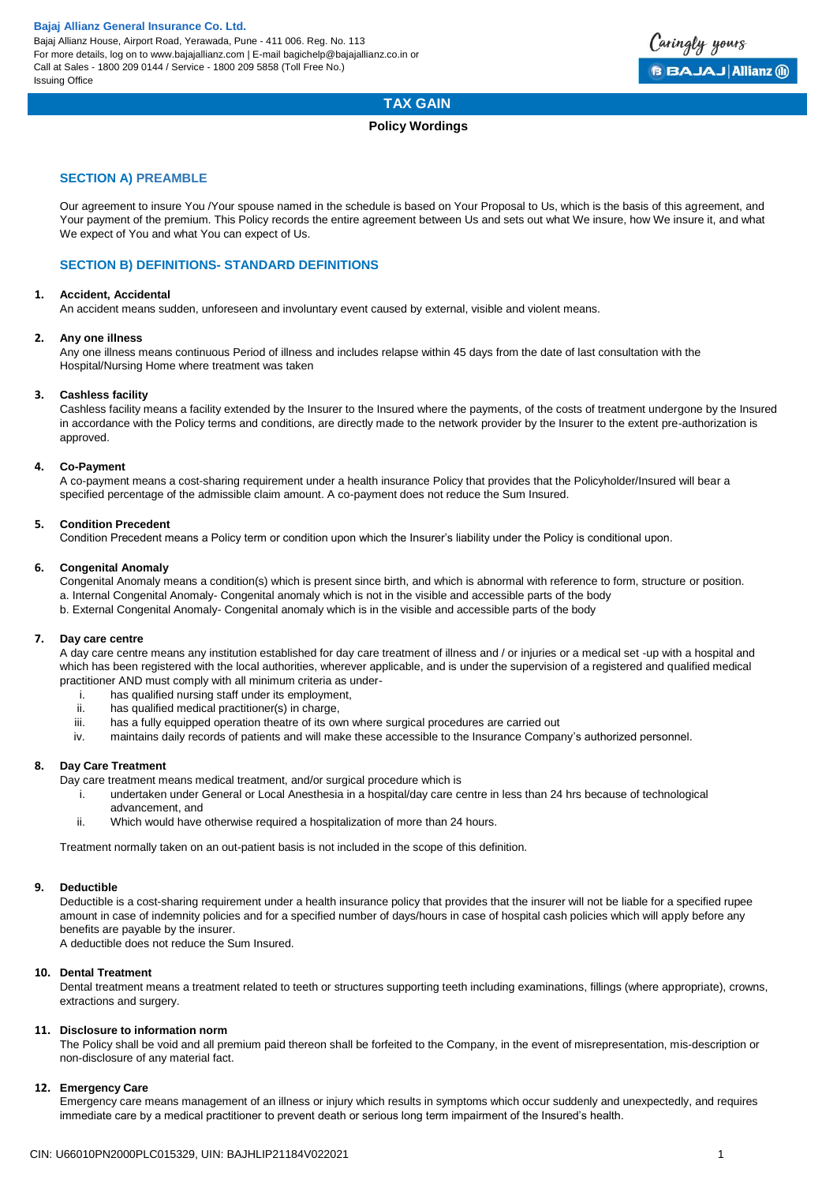

# **TAX GAIN**

# **Policy Wordings**

# **SECTION A) PREAMBLE**

Our agreement to insure You /Your spouse named in the schedule is based on Your Proposal to Us, which is the basis of this agreement, and Your payment of the premium. This Policy records the entire agreement between Us and sets out what We insure, how We insure it, and what We expect of You and what You can expect of Us.

# **SECTION B) DEFINITIONS- STANDARD DEFINITIONS**

### **1. Accident, Accidental**

An accident means sudden, unforeseen and involuntary event caused by external, visible and violent means.

### **2. Any one illness**

Any one illness means continuous Period of illness and includes relapse within 45 days from the date of last consultation with the Hospital/Nursing Home where treatment was taken

### **3. Cashless facility**

Cashless facility means a facility extended by the Insurer to the Insured where the payments, of the costs of treatment undergone by the Insured in accordance with the Policy terms and conditions, are directly made to the network provider by the Insurer to the extent pre-authorization is approved.

### **4. Co-Payment**

A co-payment means a cost-sharing requirement under a health insurance Policy that provides that the Policyholder/Insured will bear a specified percentage of the admissible claim amount. A co-payment does not reduce the Sum Insured.

# **5. Condition Precedent**

Condition Precedent means a Policy term or condition upon which the Insurer's liability under the Policy is conditional upon.

### **6. Congenital Anomaly**

Congenital Anomaly means a condition(s) which is present since birth, and which is abnormal with reference to form, structure or position.

- a. Internal Congenital Anomaly- Congenital anomaly which is not in the visible and accessible parts of the body
- b. External Congenital Anomaly- Congenital anomaly which is in the visible and accessible parts of the body

# **7. Day care centre**

A day care centre means any institution established for day care treatment of illness and / or injuries or a medical set -up with a hospital and which has been registered with the local authorities, wherever applicable, and is under the supervision of a registered and qualified medical practitioner AND must comply with all minimum criteria as under-

- i. has qualified nursing staff under its employment,
- ii. has qualified medical practitioner(s) in charge,
- iii. has a fully equipped operation theatre of its own where surgical procedures are carried out
- iv. maintains daily records of patients and will make these accessible to the Insurance Company's authorized personnel.

# **8. Day Care Treatment**

Day care treatment means medical treatment, and/or surgical procedure which is

- i. undertaken under General or Local Anesthesia in a hospital/day care centre in less than 24 hrs because of technological advancement, and
- ii. Which would have otherwise required a hospitalization of more than 24 hours.

Treatment normally taken on an out-patient basis is not included in the scope of this definition.

# **9. Deductible**

Deductible is a cost-sharing requirement under a health insurance policy that provides that the insurer will not be liable for a specified rupee amount in case of indemnity policies and for a specified number of days/hours in case of hospital cash policies which will apply before any benefits are payable by the insurer.

A deductible does not reduce the Sum Insured.

### **10. Dental Treatment**

Dental treatment means a treatment related to teeth or structures supporting teeth including examinations, fillings (where appropriate), crowns, extractions and surgery.

### **11. Disclosure to information norm**

The Policy shall be void and all premium paid thereon shall be forfeited to the Company, in the event of misrepresentation, mis-description or non-disclosure of any material fact.

### **12. Emergency Care**

Emergency care means management of an illness or injury which results in symptoms which occur suddenly and unexpectedly, and requires immediate care by a medical practitioner to prevent death or serious long term impairment of the Insured's health.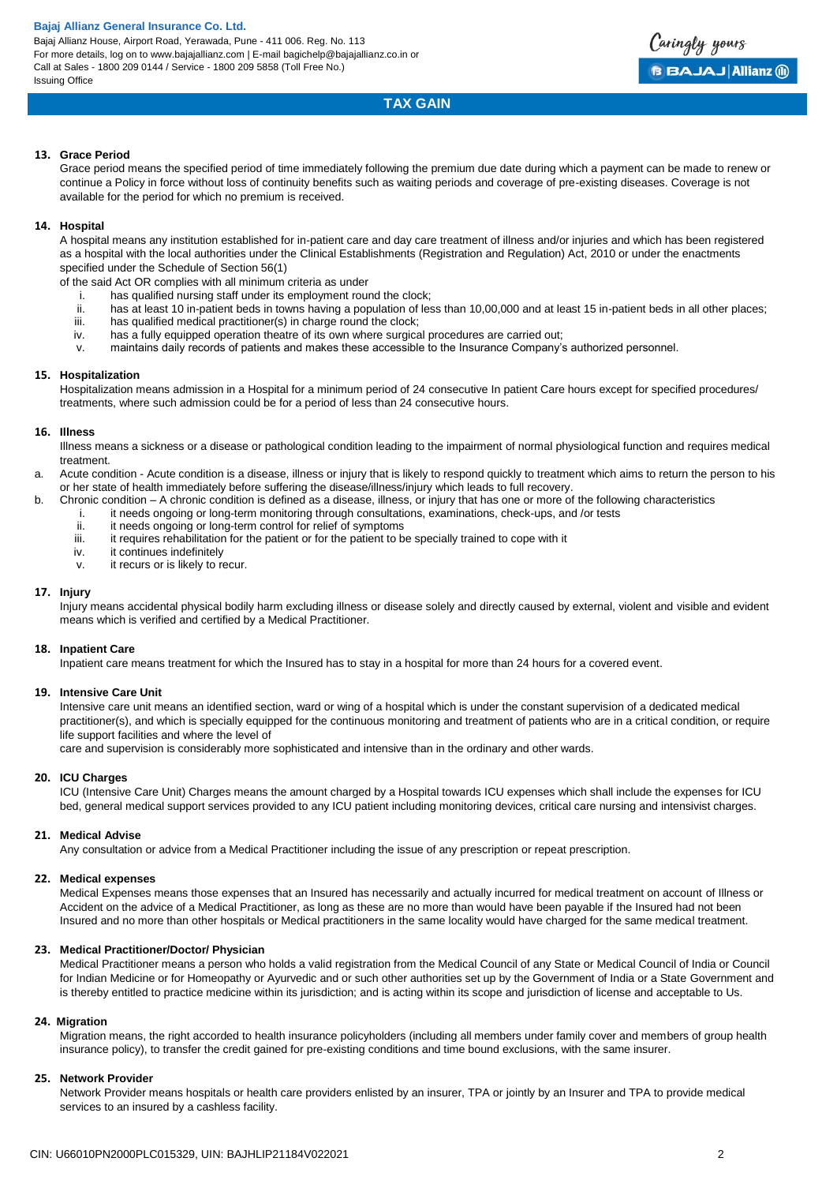Bajaj Allianz House, Airport Road, Yerawada, Pune - 411 006. Reg. No. 113 For more details, log on to www.bajajallianz.com | E-mail bagichelp@bajajallianz.co.in or Call at Sales - 1800 209 0144 / Service - 1800 209 5858 (Toll Free No.) Issuing Office



# **TAX GAIN**

### **13. Grace Period**

Grace period means the specified period of time immediately following the premium due date during which a payment can be made to renew or continue a Policy in force without loss of continuity benefits such as waiting periods and coverage of pre-existing diseases. Coverage is not available for the period for which no premium is received.

# **14. Hospital**

A hospital means any institution established for in-patient care and day care treatment of illness and/or injuries and which has been registered as a hospital with the local authorities under the Clinical Establishments (Registration and Regulation) Act, 2010 or under the enactments specified under the Schedule of Section 56(1)

of the said Act OR complies with all minimum criteria as under

- i. has qualified nursing staff under its employment round the clock;<br>ii. has at least 10 in-patient beds in towns having a population of least
- has at least 10 in-patient beds in towns having a population of less than 10,00,000 and at least 15 in-patient beds in all other places;
- iii. has qualified medical practitioner(s) in charge round the clock;<br>iv. has a fully equipped operation theatre of its own where surgical
- has a fully equipped operation theatre of its own where surgical procedures are carried out;
- v. maintains daily records of patients and makes these accessible to the Insurance Company's authorized personnel.

### **15. Hospitalization**

Hospitalization means admission in a Hospital for a minimum period of 24 consecutive In patient Care hours except for specified procedures/ treatments, where such admission could be for a period of less than 24 consecutive hours.

### **16. Illness**

Illness means a sickness or a disease or pathological condition leading to the impairment of normal physiological function and requires medical treatment.

a. Acute condition - Acute condition is a disease, illness or injury that is likely to respond quickly to treatment which aims to return the person to his or her state of health immediately before suffering the disease/illness/injury which leads to full recovery.

- b. Chronic condition A chronic condition is defined as a disease, illness, or injury that has one or more of the following characteristics
	- i. it needs ongoing or long-term monitoring through consultations, examinations, check-ups, and /or tests
	- ii. it needs ongoing or long-term control for relief of symptoms
	- iii. it requires rehabilitation for the patient or for the patient to be specially trained to cope with it iv.
	- it continues indefinitely
	- v. it recurs or is likely to recur.

## **17. Injury**

Injury means accidental physical bodily harm excluding illness or disease solely and directly caused by external, violent and visible and evident means which is verified and certified by a Medical Practitioner.

### **18. Inpatient Care**

Inpatient care means treatment for which the Insured has to stay in a hospital for more than 24 hours for a covered event.

### **19. Intensive Care Unit**

Intensive care unit means an identified section, ward or wing of a hospital which is under the constant supervision of a dedicated medical practitioner(s), and which is specially equipped for the continuous monitoring and treatment of patients who are in a critical condition, or require life support facilities and where the level of

care and supervision is considerably more sophisticated and intensive than in the ordinary and other wards.

# **20. ICU Charges**

ICU (Intensive Care Unit) Charges means the amount charged by a Hospital towards ICU expenses which shall include the expenses for ICU bed, general medical support services provided to any ICU patient including monitoring devices, critical care nursing and intensivist charges.

### **21. Medical Advise**

Any consultation or advice from a Medical Practitioner including the issue of any prescription or repeat prescription.

### **22. Medical expenses**

Medical Expenses means those expenses that an Insured has necessarily and actually incurred for medical treatment on account of Illness or Accident on the advice of a Medical Practitioner, as long as these are no more than would have been payable if the Insured had not been Insured and no more than other hospitals or Medical practitioners in the same locality would have charged for the same medical treatment.

### **23. Medical Practitioner/Doctor/ Physician**

Medical Practitioner means a person who holds a valid registration from the Medical Council of any State or Medical Council of India or Council for Indian Medicine or for Homeopathy or Ayurvedic and or such other authorities set up by the Government of India or a State Government and is thereby entitled to practice medicine within its jurisdiction; and is acting within its scope and jurisdiction of license and acceptable to Us.

### **24. Migration**

Migration means, the right accorded to health insurance policyholders (including all members under family cover and members of group health insurance policy), to transfer the credit gained for pre-existing conditions and time bound exclusions, with the same insurer.

### **25. Network Provider**

Network Provider means hospitals or health care providers enlisted by an insurer, TPA or jointly by an Insurer and TPA to provide medical services to an insured by a cashless facility.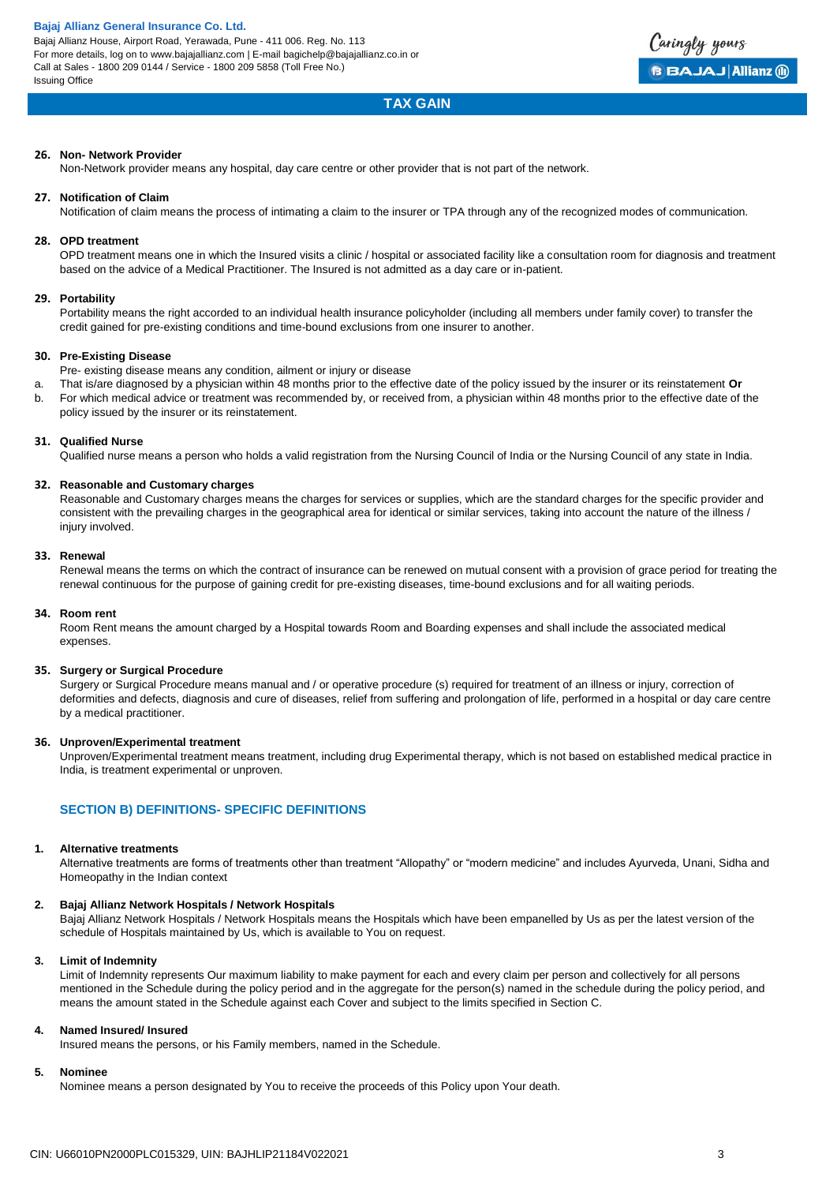

# **TAX GAIN**

### **26. Non- Network Provider**

Non-Network provider means any hospital, day care centre or other provider that is not part of the network.

### **27. Notification of Claim**

Notification of claim means the process of intimating a claim to the insurer or TPA through any of the recognized modes of communication.

### **28. OPD treatment**

OPD treatment means one in which the Insured visits a clinic / hospital or associated facility like a consultation room for diagnosis and treatment based on the advice of a Medical Practitioner. The Insured is not admitted as a day care or in-patient.

### **29. Portability**

Portability means the right accorded to an individual health insurance policyholder (including all members under family cover) to transfer the credit gained for pre-existing conditions and time-bound exclusions from one insurer to another.

### **30. Pre-Existing Disease**

- Pre- existing disease means any condition, ailment or injury or disease
- a. That is/are diagnosed by a physician within 48 months prior to the effective date of the policy issued by the insurer or its reinstatement **Or** b. For which medical advice or treatment was recommended by, or received from, a physician within 48 months prior to the effective date of the
- policy issued by the insurer or its reinstatement.

### **31. Qualified Nurse**

Qualified nurse means a person who holds a valid registration from the Nursing Council of India or the Nursing Council of any state in India.

### **32. Reasonable and Customary charges**

Reasonable and Customary charges means the charges for services or supplies, which are the standard charges for the specific provider and consistent with the prevailing charges in the geographical area for identical or similar services, taking into account the nature of the illness / injury involved.

#### **33. Renewal**

Renewal means the terms on which the contract of insurance can be renewed on mutual consent with a provision of grace period for treating the renewal continuous for the purpose of gaining credit for pre-existing diseases, time-bound exclusions and for all waiting periods.

#### **34. Room rent**

Room Rent means the amount charged by a Hospital towards Room and Boarding expenses and shall include the associated medical expenses.

### **35. Surgery or Surgical Procedure**

Surgery or Surgical Procedure means manual and / or operative procedure (s) required for treatment of an illness or injury, correction of deformities and defects, diagnosis and cure of diseases, relief from suffering and prolongation of life, performed in a hospital or day care centre by a medical practitioner.

### **36. Unproven/Experimental treatment**

Unproven/Experimental treatment means treatment, including drug Experimental therapy, which is not based on established medical practice in India, is treatment experimental or unproven.

# **SECTION B) DEFINITIONS- SPECIFIC DEFINITIONS**

### **1. Alternative treatments**

Alternative treatments are forms of treatments other than treatment "Allopathy" or "modern medicine" and includes Ayurveda, Unani, Sidha and Homeopathy in the Indian context

#### **2. Bajaj Allianz Network Hospitals / Network Hospitals**

Bajaj Allianz Network Hospitals / Network Hospitals means the Hospitals which have been empanelled by Us as per the latest version of the schedule of Hospitals maintained by Us, which is available to You on request.

#### **3. Limit of Indemnity**

Limit of Indemnity represents Our maximum liability to make payment for each and every claim per person and collectively for all persons mentioned in the Schedule during the policy period and in the aggregate for the person(s) named in the schedule during the policy period, and means the amount stated in the Schedule against each Cover and subject to the limits specified in Section C.

### **4. Named Insured/ Insured**

Insured means the persons, or his Family members, named in the Schedule.

# **5. Nominee**

Nominee means a person designated by You to receive the proceeds of this Policy upon Your death.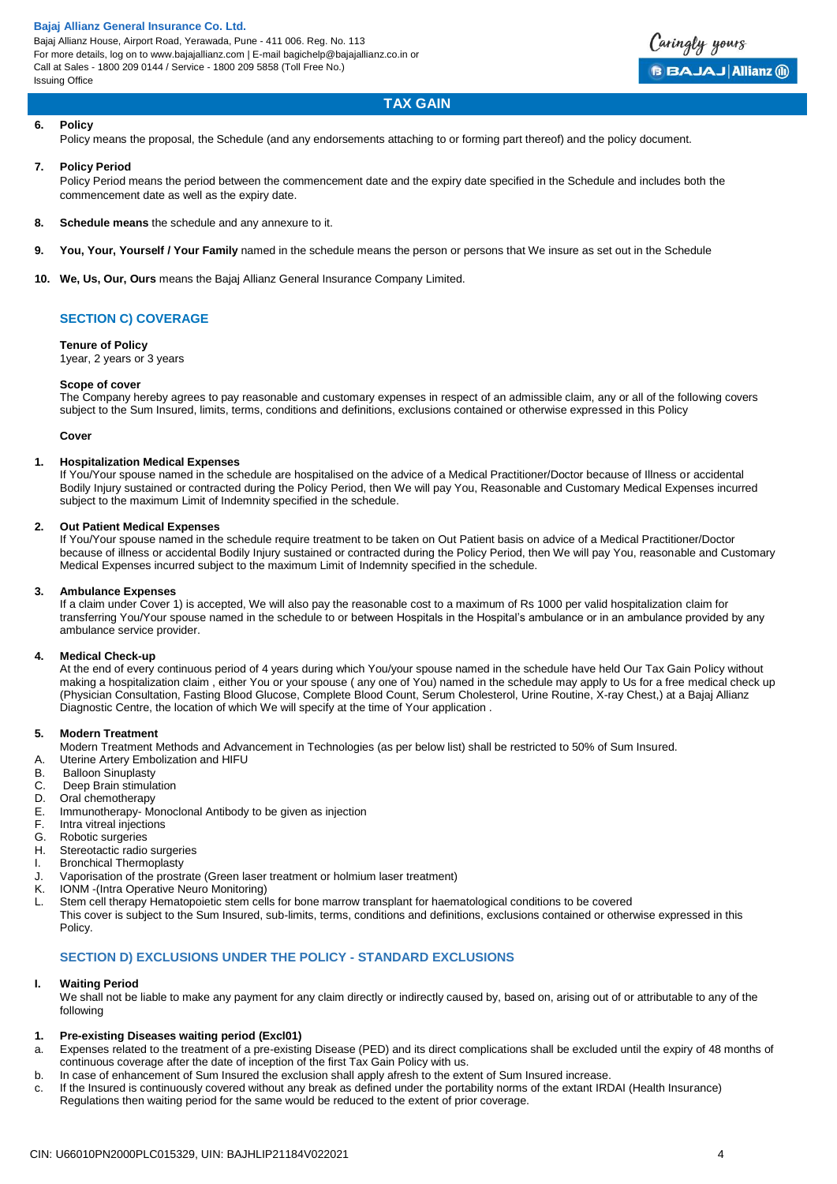

# **TAX GAIN**

### **6. Policy**

Policy means the proposal, the Schedule (and any endorsements attaching to or forming part thereof) and the policy document.

### **7. Policy Period**

Policy Period means the period between the commencement date and the expiry date specified in the Schedule and includes both the commencement date as well as the expiry date.

- **8. Schedule means** the schedule and any annexure to it.
- **9. You, Your, Yourself / Your Family** named in the schedule means the person or persons that We insure as set out in the Schedule
- **10. We, Us, Our, Ours** means the Bajaj Allianz General Insurance Company Limited.

# **SECTION C) COVERAGE**

# **Tenure of Policy**

1year, 2 years or 3 years

### **Scope of cover**

The Company hereby agrees to pay reasonable and customary expenses in respect of an admissible claim, any or all of the following covers subject to the Sum Insured, limits, terms, conditions and definitions, exclusions contained or otherwise expressed in this Policy

#### **Cover**

### **1. Hospitalization Medical Expenses**

If You/Your spouse named in the schedule are hospitalised on the advice of a Medical Practitioner/Doctor because of Illness or accidental Bodily Injury sustained or contracted during the Policy Period, then We will pay You, Reasonable and Customary Medical Expenses incurred subject to the maximum Limit of Indemnity specified in the schedule.

### **2. Out Patient Medical Expenses**

If You/Your spouse named in the schedule require treatment to be taken on Out Patient basis on advice of a Medical Practitioner/Doctor because of illness or accidental Bodily Injury sustained or contracted during the Policy Period, then We will pay You, reasonable and Customary Medical Expenses incurred subject to the maximum Limit of Indemnity specified in the schedule.

#### **3. Ambulance Expenses**

If a claim under Cover 1) is accepted, We will also pay the reasonable cost to a maximum of Rs 1000 per valid hospitalization claim for transferring You/Your spouse named in the schedule to or between Hospitals in the Hospital's ambulance or in an ambulance provided by any ambulance service provider.

#### **4. Medical Check-up**

At the end of every continuous period of 4 years during which You/your spouse named in the schedule have held Our Tax Gain Policy without making a hospitalization claim , either You or your spouse ( any one of You) named in the schedule may apply to Us for a free medical check up (Physician Consultation, Fasting Blood Glucose, Complete Blood Count, Serum Cholesterol, Urine Routine, X-ray Chest,) at a Bajaj Allianz Diagnostic Centre, the location of which We will specify at the time of Your application .

### **5. Modern Treatment**

Modern Treatment Methods and Advancement in Technologies (as per below list) shall be restricted to 50% of Sum Insured.

- A. Uterine Artery Embolization and HIFU
- B. Balloon Sinuplasty
- C. Deep Brain stimulation
- D. Oral chemotherapy
- E. Immunotherapy- Monoclonal Antibody to be given as injection
- F. Intra vitreal injections<br>G. Robotic surgeries
- Robotic surgeries
- H. Stereotactic radio surgeries
- I. Bronchical Thermoplasty
- J. Vaporisation of the prostrate (Green laser treatment or holmium laser treatment)
- K. IONM -(Intra Operative Neuro Monitoring)
- L. Stem cell therapy Hematopoietic stem cells for bone marrow transplant for haematological conditions to be covered This cover is subject to the Sum Insured, sub-limits, terms, conditions and definitions, exclusions contained or otherwise expressed in this Policy.

# **SECTION D) EXCLUSIONS UNDER THE POLICY - STANDARD EXCLUSIONS**

### **I. Waiting Period**

We shall not be liable to make any payment for any claim directly or indirectly caused by, based on, arising out of or attributable to any of the following

### **1. Pre-existing Diseases waiting period (Excl01)**

- a. Expenses related to the treatment of a pre-existing Disease (PED) and its direct complications shall be excluded until the expiry of 48 months of continuous coverage after the date of inception of the first Tax Gain Policy with us.
- b. In case of enhancement of Sum Insured the exclusion shall apply afresh to the extent of Sum Insured increase.
- c. If the Insured is continuously covered without any break as defined under the portability norms of the extant IRDAI (Health Insurance) Regulations then waiting period for the same would be reduced to the extent of prior coverage.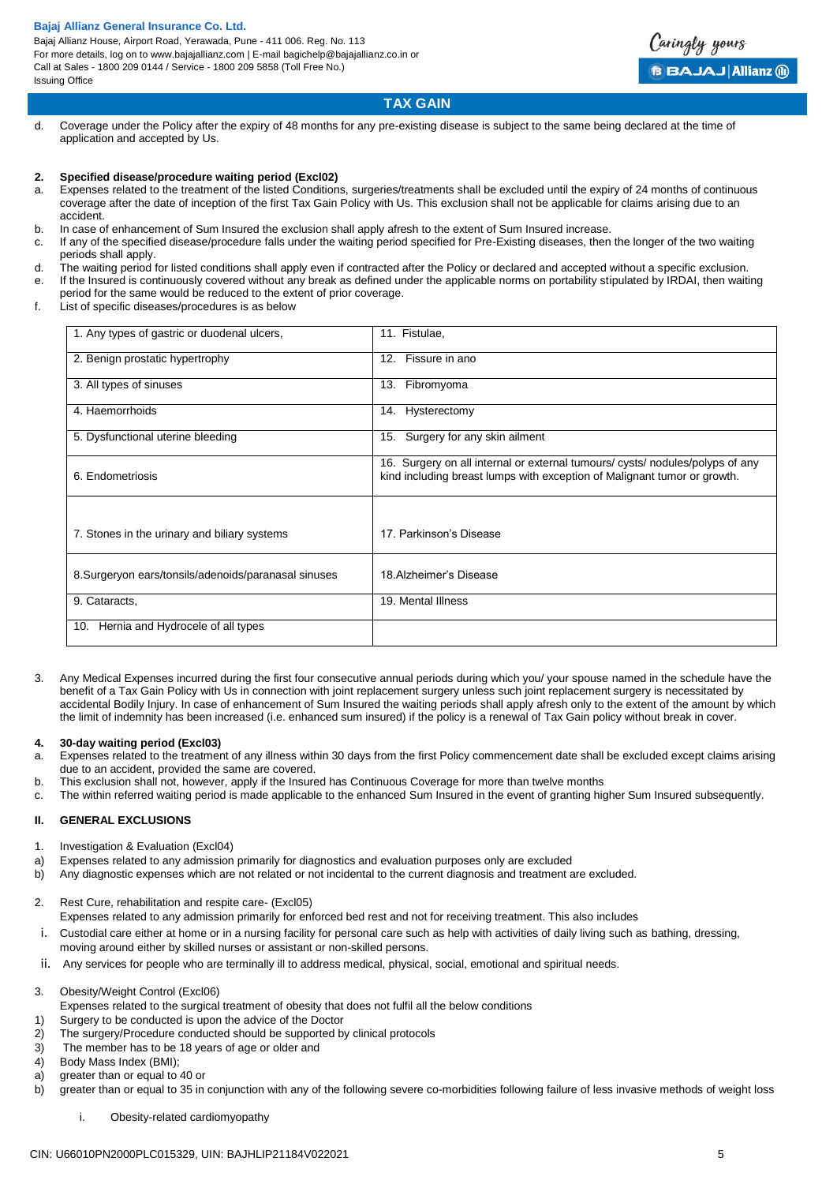Bajaj Allianz House, Airport Road, Yerawada, Pune - 411 006. Reg. No. 113 For more details, log on to www.bajajallianz.com | E-mail bagichelp@bajajallianz.co.in or Call at Sales - 1800 209 0144 / Service - 1800 209 5858 (Toll Free No.) Issuing Office



# **TAX GAIN**

d. Coverage under the Policy after the expiry of 48 months for any pre-existing disease is subject to the same being declared at the time of application and accepted by Us.

### **2. Specified disease/procedure waiting period (Excl02)**

- a. Expenses related to the treatment of the listed Conditions, surgeries/treatments shall be excluded until the expiry of 24 months of continuous coverage after the date of inception of the first Tax Gain Policy with Us. This exclusion shall not be applicable for claims arising due to an accident.
- b. In case of enhancement of Sum Insured the exclusion shall apply afresh to the extent of Sum Insured increase.
- c. If any of the specified disease/procedure falls under the waiting period specified for Pre-Existing diseases, then the longer of the two waiting periods shall apply.
- d. The waiting period for listed conditions shall apply even if contracted after the Policy or declared and accepted without a specific exclusion.
- e. If the Insured is continuously covered without any break as defined under the applicable norms on portability stipulated by IRDAI, then waiting period for the same would be reduced to the extent of prior coverage.
- f. List of specific diseases/procedures is as below

| 1. Any types of gastric or duodenal ulcers,          | 11. Fistulae,                                                                                                                                             |
|------------------------------------------------------|-----------------------------------------------------------------------------------------------------------------------------------------------------------|
| 2. Benign prostatic hypertrophy                      | Fissure in ano<br>12.                                                                                                                                     |
| 3. All types of sinuses                              | Fibromyoma<br>13.                                                                                                                                         |
| 4. Haemorrhoids                                      | Hysterectomy<br>14.                                                                                                                                       |
| 5. Dysfunctional uterine bleeding                    | Surgery for any skin ailment<br>15.                                                                                                                       |
| 6. Endometriosis                                     | 16. Surgery on all internal or external tumours/ cysts/ nodules/polyps of any<br>kind including breast lumps with exception of Malignant tumor or growth. |
|                                                      |                                                                                                                                                           |
| 7. Stones in the urinary and biliary systems         | 17. Parkinson's Disease                                                                                                                                   |
| 8. Surgeryon ears/tonsils/adenoids/paranasal sinuses | 18. Alzheimer's Disease                                                                                                                                   |
| 9. Cataracts,                                        | 19. Mental Illness                                                                                                                                        |
| Hernia and Hydrocele of all types<br>10.             |                                                                                                                                                           |

3. Any Medical Expenses incurred during the first four consecutive annual periods during which you/ your spouse named in the schedule have the benefit of a Tax Gain Policy with Us in connection with joint replacement surgery unless such joint replacement surgery is necessitated by accidental Bodily Injury. In case of enhancement of Sum Insured the waiting periods shall apply afresh only to the extent of the amount by which the limit of indemnity has been increased (i.e. enhanced sum insured) if the policy is a renewal of Tax Gain policy without break in cover.

#### **4. 30-day waiting period (Excl03)**

- a. Expenses related to the treatment of any illness within 30 days from the first Policy commencement date shall be excluded except claims arising due to an accident, provided the same are covered.
- b. This exclusion shall not, however, apply if the Insured has Continuous Coverage for more than twelve months
- c. The within referred waiting period is made applicable to the enhanced Sum Insured in the event of granting higher Sum Insured subsequently.

### **II. GENERAL EXCLUSIONS**

- 1. Investigation & Evaluation (Excl04)
- a) Expenses related to any admission primarily for diagnostics and evaluation purposes only are excluded
- b) Any diagnostic expenses which are not related or not incidental to the current diagnosis and treatment are excluded.
- 2. Rest Cure, rehabilitation and respite care- (Excl05) Expenses related to any admission primarily for enforced bed rest and not for receiving treatment. This also includes
- i. Custodial care either at home or in a nursing facility for personal care such as help with activities of daily living such as bathing, dressing, moving around either by skilled nurses or assistant or non-skilled persons.
- ii. Any services for people who are terminally ill to address medical, physical, social, emotional and spiritual needs.

3. Obesity/Weight Control (Excl06)

- Expenses related to the surgical treatment of obesity that does not fulfil all the below conditions
- 1) Surgery to be conducted is upon the advice of the Doctor
- 2) The surgery/Procedure conducted should be supported by clinical protocols
- 3) The member has to be 18 years of age or older and
- 4) Body Mass Index (BMI);
- a) greater than or equal to 40 or
- b) greater than or equal to 35 in conjunction with any of the following severe co-morbidities following failure of less invasive methods of weight loss
	- i. Obesity-related cardiomyopathy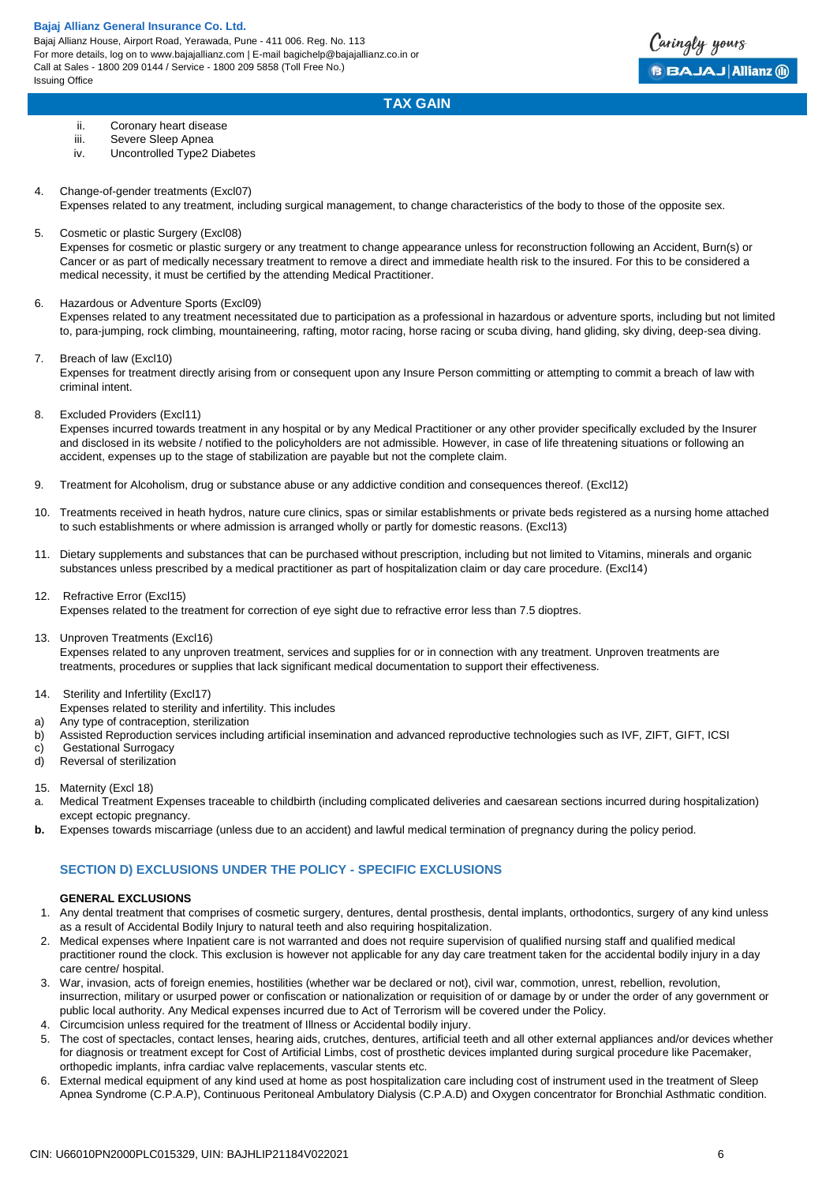

# **TAX GAIN**

- ii. Coronary heart disease
- iii. Severe Sleep Apnea
- iv. Uncontrolled Type2 Diabetes
- 4. Change-of-gender treatments (Excl07)
	- Expenses related to any treatment, including surgical management, to change characteristics of the body to those of the opposite sex.
- 5. Cosmetic or plastic Surgery (Excl08)

Expenses for cosmetic or plastic surgery or any treatment to change appearance unless for reconstruction following an Accident, Burn(s) or Cancer or as part of medically necessary treatment to remove a direct and immediate health risk to the insured. For this to be considered a medical necessity, it must be certified by the attending Medical Practitioner.

# 6. Hazardous or Adventure Sports (Excl09)

Expenses related to any treatment necessitated due to participation as a professional in hazardous or adventure sports, including but not limited to, para-jumping, rock climbing, mountaineering, rafting, motor racing, horse racing or scuba diving, hand gliding, sky diving, deep-sea diving.

7. Breach of law (Excl10)

Expenses for treatment directly arising from or consequent upon any Insure Person committing or attempting to commit a breach of law with criminal intent.

8. Excluded Providers (Excl11)

Expenses incurred towards treatment in any hospital or by any Medical Practitioner or any other provider specifically excluded by the Insurer and disclosed in its website / notified to the policyholders are not admissible. However, in case of life threatening situations or following an accident, expenses up to the stage of stabilization are payable but not the complete claim.

- 9. Treatment for Alcoholism, drug or substance abuse or any addictive condition and consequences thereof. (Excl12)
- 10. Treatments received in heath hydros, nature cure clinics, spas or similar establishments or private beds registered as a nursing home attached to such establishments or where admission is arranged wholly or partly for domestic reasons. (Excl13)
- 11. Dietary supplements and substances that can be purchased without prescription, including but not limited to Vitamins, minerals and organic substances unless prescribed by a medical practitioner as part of hospitalization claim or day care procedure. (Excl14)
- 12. Refractive Error (Excl15)

Expenses related to the treatment for correction of eye sight due to refractive error less than 7.5 dioptres.

13. Unproven Treatments (Excl16)

Expenses related to any unproven treatment, services and supplies for or in connection with any treatment. Unproven treatments are treatments, procedures or supplies that lack significant medical documentation to support their effectiveness.

- 14. Sterility and Infertility (Excl17)
- Expenses related to sterility and infertility. This includes
- a) Any type of contraception, sterilization
- b) Assisted Reproduction services including artificial insemination and advanced reproductive technologies such as IVF, ZIFT, GIFT, ICSI
- c) Gestational Surrogacy<br>d) Reversal of sterilization
- Reversal of sterilization
- 15. Maternity (Excl 18)
- a. Medical Treatment Expenses traceable to childbirth (including complicated deliveries and caesarean sections incurred during hospitalization) except ectopic pregnancy.
- **b.** Expenses towards miscarriage (unless due to an accident) and lawful medical termination of pregnancy during the policy period.

# **SECTION D) EXCLUSIONS UNDER THE POLICY - SPECIFIC EXCLUSIONS**

# **GENERAL EXCLUSIONS**

- 1. Any dental treatment that comprises of cosmetic surgery, dentures, dental prosthesis, dental implants, orthodontics, surgery of any kind unless as a result of Accidental Bodily Injury to natural teeth and also requiring hospitalization.
- 2. Medical expenses where Inpatient care is not warranted and does not require supervision of qualified nursing staff and qualified medical practitioner round the clock. This exclusion is however not applicable for any day care treatment taken for the accidental bodily injury in a day care centre/ hospital.
- 3. War, invasion, acts of foreign enemies, hostilities (whether war be declared or not), civil war, commotion, unrest, rebellion, revolution, insurrection, military or usurped power or confiscation or nationalization or requisition of or damage by or under the order of any government or public local authority. Any Medical expenses incurred due to Act of Terrorism will be covered under the Policy.
- 4. Circumcision unless required for the treatment of Illness or Accidental bodily injury.
- 5. The cost of spectacles, contact lenses, hearing aids, crutches, dentures, artificial teeth and all other external appliances and/or devices whether for diagnosis or treatment except for Cost of Artificial Limbs, cost of prosthetic devices implanted during surgical procedure like Pacemaker, orthopedic implants, infra cardiac valve replacements, vascular stents etc.
- 6. External medical equipment of any kind used at home as post hospitalization care including cost of instrument used in the treatment of Sleep Apnea Syndrome (C.P.A.P), Continuous Peritoneal Ambulatory Dialysis (C.P.A.D) and Oxygen concentrator for Bronchial Asthmatic condition.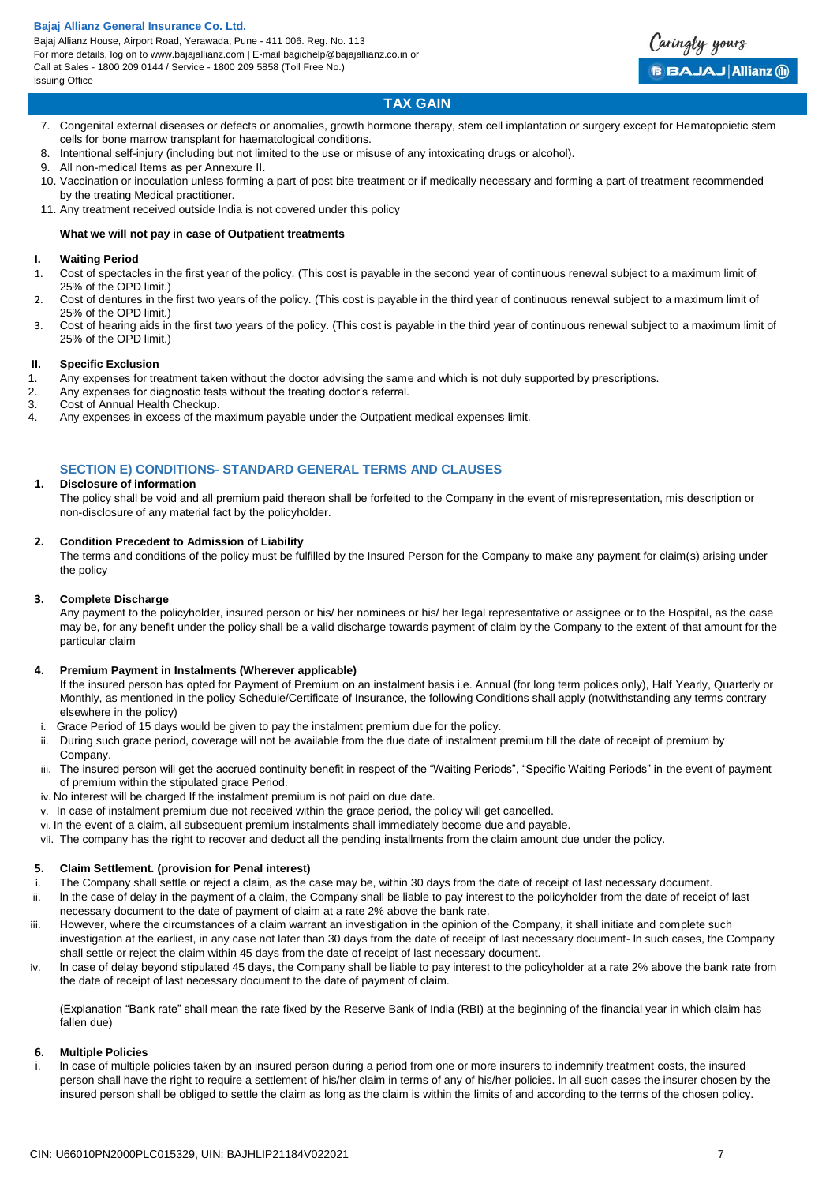Bajaj Allianz House, Airport Road, Yerawada, Pune - 411 006. Reg. No. 113 For more details, log on to www.bajajallianz.com | E-mail bagichelp@bajajallianz.co.in or Call at Sales - 1800 209 0144 / Service - 1800 209 5858 (Toll Free No.) Issuing Office



# **TAX GAIN**

- 7. Congenital external diseases or defects or anomalies, growth hormone therapy, stem cell implantation or surgery except for Hematopoietic stem cells for bone marrow transplant for haematological conditions.
- 8. Intentional self-injury (including but not limited to the use or misuse of any intoxicating drugs or alcohol).
- 9. All non-medical Items as per Annexure II.
- 10. Vaccination or inoculation unless forming a part of post bite treatment or if medically necessary and forming a part of treatment recommended by the treating Medical practitioner.
- 11. Any treatment received outside India is not covered under this policy

# **What we will not pay in case of Outpatient treatments**

### **I. Waiting Period**

- 1. Cost of spectacles in the first year of the policy. (This cost is payable in the second year of continuous renewal subject to a maximum limit of 25% of the OPD limit.)
- 2. Cost of dentures in the first two years of the policy. (This cost is payable in the third year of continuous renewal subject to a maximum limit of 25% of the OPD limit.)
- 3. Cost of hearing aids in the first two years of the policy. (This cost is payable in the third year of continuous renewal subject to a maximum limit of 25% of the OPD limit.)

# **II. Specific Exclusion**

- 1. Any expenses for treatment taken without the doctor advising the same and which is not duly supported by prescriptions.<br>2. Any expenses for diagnostic tests without the treating doctor's referral
- Any expenses for diagnostic tests without the treating doctor's referral.
- 3. Cost of Annual Health Checkup.
- 4. Any expenses in excess of the maximum payable under the Outpatient medical expenses limit.

# **SECTION E) CONDITIONS- STANDARD GENERAL TERMS AND CLAUSES**

## **1. Disclosure of information**

The policy shall be void and all premium paid thereon shall be forfeited to the Company in the event of misrepresentation, mis description or non-disclosure of any material fact by the policyholder.

### **2. Condition Precedent to Admission of Liability**

The terms and conditions of the policy must be fulfilled by the Insured Person for the Company to make any payment for claim(s) arising under the policy

### **3. Complete Discharge**

Any payment to the policyholder, insured person or his/ her nominees or his/ her legal representative or assignee or to the Hospital, as the case may be, for any benefit under the policy shall be a valid discharge towards payment of claim by the Company to the extent of that amount for the particular claim

### **4. Premium Payment in Instalments (Wherever applicable)**

If the insured person has opted for Payment of Premium on an instalment basis i.e. Annual (for long term polices only), Half Yearly, Quarterly or Monthly, as mentioned in the policy Schedule/Certificate of Insurance, the following Conditions shall apply (notwithstanding any terms contrary elsewhere in the policy)

- i. Grace Period of 15 days would be given to pay the instalment premium due for the policy.
- ii. During such grace period, coverage will not be available from the due date of instalment premium till the date of receipt of premium by Company.
- iii. The insured person will get the accrued continuity benefit in respect of the "Waiting Periods", "Specific Waiting Periods" in the event of payment of premium within the stipulated grace Period.
- iv. No interest will be charged If the instalment premium is not paid on due date.
- v. In case of instalment premium due not received within the grace period, the policy will get cancelled.
- vi. In the event of a claim, all subsequent premium instalments shall immediately become due and payable.
- vii. The company has the right to recover and deduct all the pending installments from the claim amount due under the policy.

# **5. Claim Settlement. (provision for Penal interest)**

- The Company shall settle or reject a claim, as the case may be, within 30 days from the date of receipt of last necessary document.
- ii. ln the case of delay in the payment of a claim, the Company shall be liable to pay interest to the policyholder from the date of receipt of last necessary document to the date of payment of claim at a rate 2% above the bank rate.
- iii. However, where the circumstances of a claim warrant an investigation in the opinion of the Company, it shall initiate and complete such investigation at the earliest, in any case not later than 30 days from the date of receipt of last necessary document- ln such cases, the Company shall settle or reject the claim within 45 days from the date of receipt of last necessary document.
- iv. ln case of delay beyond stipulated 45 days, the Company shall be liable to pay interest to the policyholder at a rate 2% above the bank rate from the date of receipt of last necessary document to the date of payment of claim.

(Explanation "Bank rate" shall mean the rate fixed by the Reserve Bank of India (RBI) at the beginning of the financial year in which claim has fallen due)

### **6. Multiple Policies**

In case of multiple policies taken by an insured person during a period from one or more insurers to indemnify treatment costs, the insured person shall have the right to require a settlement of his/her claim in terms of any of his/her policies. ln all such cases the insurer chosen by the insured person shall be obliged to settle the claim as long as the claim is within the limits of and according to the terms of the chosen policy.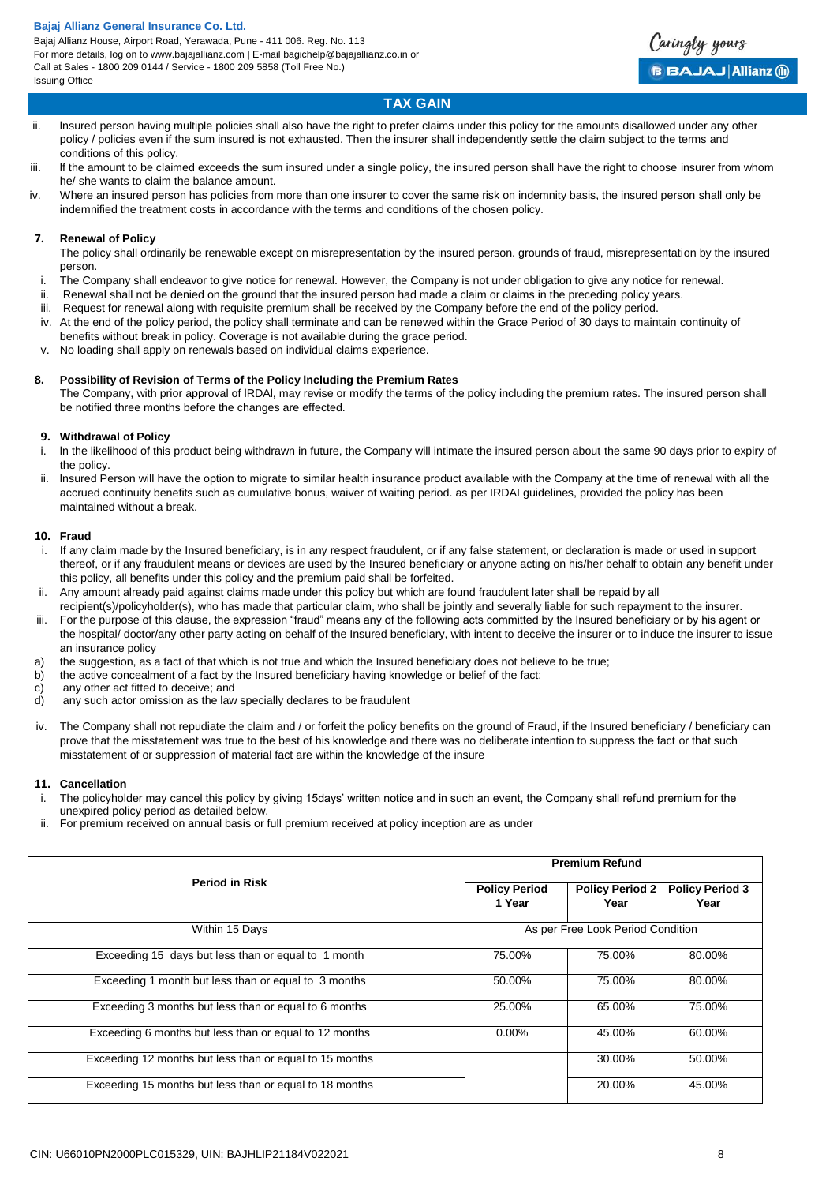Bajaj Allianz House, Airport Road, Yerawada, Pune - 411 006. Reg. No. 113 For more details, log on to www.bajajallianz.com | E-mail bagichelp@bajajallianz.co.in or Call at Sales - 1800 209 0144 / Service - 1800 209 5858 (Toll Free No.) Issuing Office



# **TAX GAIN**

- ii. lnsured person having multiple policies shall also have the right to prefer claims under this policy for the amounts disallowed under any other policy / policies even if the sum insured is not exhausted. Then the insurer shall independently settle the claim subject to the terms and conditions of this policy.
- iii. lf the amount to be claimed exceeds the sum insured under a single policy, the insured person shall have the right to choose insurer from whom he/ she wants to claim the balance amount.
- iv. Where an insured person has policies from more than one insurer to cover the same risk on indemnity basis, the insured person shall only be indemnified the treatment costs in accordance with the terms and conditions of the chosen policy.

### **7. Renewal of Policy**

The policy shall ordinarily be renewable except on misrepresentation by the insured person. grounds of fraud, misrepresentation by the insured person.

- i. The Company shall endeavor to give notice for renewal. However, the Company is not under obligation to give any notice for renewal.
- ii. Renewal shall not be denied on the ground that the insured person had made a claim or claims in the preceding policy years.
- iii. Request for renewal along with requisite premium shall be received by the Company before the end of the policy period.
- iv. At the end of the policy period, the policy shall terminate and can be renewed within the Grace Period of 30 days to maintain continuity of benefits without break in policy. Coverage is not available during the grace period.
- v. No loading shall apply on renewals based on individual claims experience.

# **8. Possibility of Revision of Terms of the Policy lncluding the Premium Rates**

The Company, with prior approval of lRDAl, may revise or modify the terms of the policy including the premium rates. The insured person shall be notified three months before the changes are effected.

# **9. Withdrawal of Policy**

- In the likelihood of this product being withdrawn in future, the Company will intimate the insured person about the same 90 days prior to expiry of the policy.
- ii. lnsured Person will have the option to migrate to similar health insurance product available with the Company at the time of renewal with all the accrued continuity benefits such as cumulative bonus, waiver of waiting period. as per IRDAI guidelines, provided the policy has been maintained without a break.

### **10. Fraud**

- i. If any claim made by the Insured beneficiary, is in any respect fraudulent, or if any false statement, or declaration is made or used in support thereof, or if any fraudulent means or devices are used by the Insured beneficiary or anyone acting on his/her behalf to obtain any benefit under this policy, all benefits under this policy and the premium paid shall be forfeited.
- ii. Any amount already paid against claims made under this policy but which are found fraudulent later shall be repaid by all recipient(s)/policyholder(s), who has made that particular claim, who shall be jointly and severally liable for such repayment to the insurer.
- iii. For the purpose of this clause, the expression "fraud" means any of the following acts committed by the Insured beneficiary or by his agent or the hospital/ doctor/any other party acting on behalf of the Insured beneficiary, with intent to deceive the insurer or to induce the insurer to issue an insurance policy
- a) the suggestion, as a fact of that which is not true and which the Insured beneficiary does not believe to be true;
- b) the active concealment of a fact by the Insured beneficiary having knowledge or belief of the fact;
- c) any other act fitted to deceive; and
- d) any such actor omission as the law specially declares to be fraudulent
- iv. The Company shall not repudiate the claim and / or forfeit the policy benefits on the ground of Fraud, if the Insured beneficiary / beneficiary can prove that the misstatement was true to the best of his knowledge and there was no deliberate intention to suppress the fact or that such misstatement of or suppression of material fact are within the knowledge of the insure

### **11. Cancellation**

- i. The policyholder may cancel this policy by giving 15days' written notice and in such an event, the Company shall refund premium for the unexpired policy period as detailed below.
- ii. For premium received on annual basis or full premium received at policy inception are as under

|                                                         | <b>Premium Refund</b>          |                                   |                                |
|---------------------------------------------------------|--------------------------------|-----------------------------------|--------------------------------|
| <b>Period in Risk</b>                                   | <b>Policy Period</b><br>1 Year | <b>Policy Period 2</b><br>Year    | <b>Policy Period 3</b><br>Year |
| Within 15 Days                                          |                                | As per Free Look Period Condition |                                |
| Exceeding 15 days but less than or equal to 1 month     | 75.00%                         | 75.00%                            | 80.00%                         |
| Exceeding 1 month but less than or equal to 3 months    | 50.00%                         | 75.00%                            | 80.00%                         |
| Exceeding 3 months but less than or equal to 6 months   | 25.00%                         | 65.00%                            | 75.00%                         |
| Exceeding 6 months but less than or equal to 12 months  | $0.00\%$                       | 45.00%                            | 60.00%                         |
| Exceeding 12 months but less than or equal to 15 months |                                | 30.00%                            | 50.00%                         |
| Exceeding 15 months but less than or equal to 18 months |                                | 20.00%                            | 45.00%                         |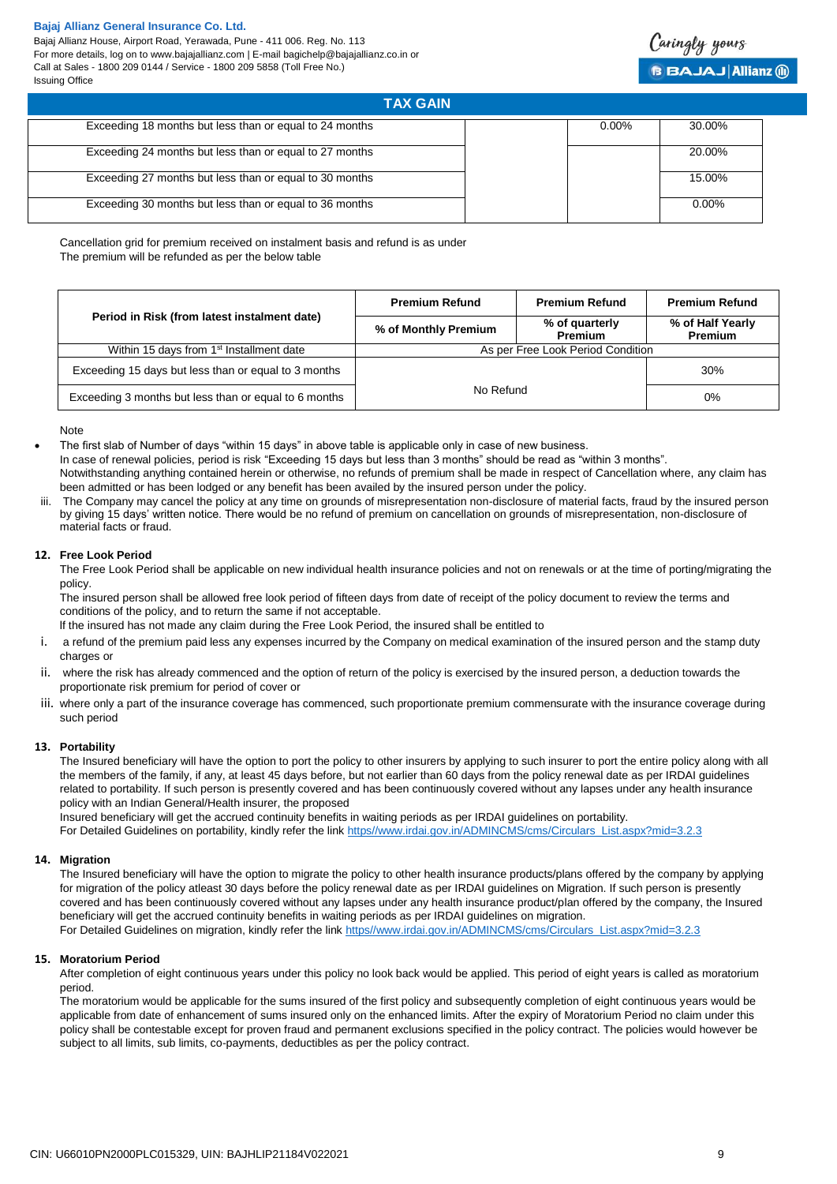Bajaj Allianz House, Airport Road, Yerawada, Pune - 411 006. Reg. No. 113 For more details, log on to www.bajajallianz.com | E-mail bagichelp@bajajallianz.co.in or Call at Sales - 1800 209 0144 / Service - 1800 209 5858 (Toll Free No.) Issuing Office



| <b>TAX GAIN</b>                                         |          |          |
|---------------------------------------------------------|----------|----------|
| Exceeding 18 months but less than or equal to 24 months | $0.00\%$ | 30.00%   |
| Exceeding 24 months but less than or equal to 27 months |          | 20.00%   |
| Exceeding 27 months but less than or equal to 30 months |          | 15.00%   |
| Exceeding 30 months but less than or equal to 36 months |          | $0.00\%$ |

Cancellation grid for premium received on instalment basis and refund is as under The premium will be refunded as per the below table

|                                                       | <b>Premium Refund</b> | <b>Premium Refund</b>             | <b>Premium Refund</b>              |
|-------------------------------------------------------|-----------------------|-----------------------------------|------------------------------------|
| Period in Risk (from latest instalment date)          | % of Monthly Premium  |                                   | % of Half Yearly<br><b>Premium</b> |
| Within 15 days from 1 <sup>st</sup> Installment date  |                       | As per Free Look Period Condition |                                    |
| Exceeding 15 days but less than or equal to 3 months  |                       |                                   | 30%                                |
| Exceeding 3 months but less than or equal to 6 months | No Refund<br>0%       |                                   |                                    |

Note

 The first slab of Number of days "within 15 days" in above table is applicable only in case of new business. In case of renewal policies, period is risk "Exceeding 15 days but less than 3 months" should be read as "within 3 months". Notwithstanding anything contained herein or otherwise, no refunds of premium shall be made in respect of Cancellation where, any claim has been admitted or has been lodged or any benefit has been availed by the insured person under the policy.

The Company may cancel the policy at any time on grounds of misrepresentation non-disclosure of material facts, fraud by the insured person by giving 15 days' written notice. There would be no refund of premium on cancellation on grounds of misrepresentation, non-disclosure of material facts or fraud.

# **12. Free Look Period**

The Free Look Period shall be applicable on new individual health insurance policies and not on renewals or at the time of porting/migrating the policy.

The insured person shall be allowed free look period of fifteen days from date of receipt of the policy document to review the terms and conditions of the policy, and to return the same if not acceptable.

lf the insured has not made any claim during the Free Look Period, the insured shall be entitled to

- i. a refund of the premium paid less any expenses incurred by the Company on medical examination of the insured person and the stamp duty charges or
- ii. where the risk has already commenced and the option of return of the policy is exercised by the insured person, a deduction towards the proportionate risk premium for period of cover or
- iii. where only a part of the insurance coverage has commenced, such proportionate premium commensurate with the insurance coverage during such period

# **13. Portability**

The Insured beneficiary will have the option to port the policy to other insurers by applying to such insurer to port the entire policy along with all the members of the family, if any, at least 45 days before, but not earlier than 60 days from the policy renewal date as per IRDAI guidelines related to portability. If such person is presently covered and has been continuously covered without any lapses under any health insurance policy with an Indian General/Health insurer, the proposed

Insured beneficiary will get the accrued continuity benefits in waiting periods as per IRDAI guidelines on portability. For Detailed Guidelines on portability, kindly refer the link [https//www.irdai.gov.in/ADMINCMS/cms/Circulars\\_List.aspx?mid=3.2.3](https://www.irdai.gov.in/ADMINCMS/cms/Circulars_List.aspx?mid=3.2.3)

### **14. Migration**

The Insured beneficiary will have the option to migrate the policy to other health insurance products/plans offered by the company by applying for migration of the policy atleast 30 days before the policy renewal date as per IRDAI guidelines on Migration. If such person is presently covered and has been continuously covered without any lapses under any health insurance product/plan offered by the company, the Insured beneficiary will get the accrued continuity benefits in waiting periods as per IRDAI guidelines on migration. For Detailed Guidelines on migration, kindly refer the link [https//www.irdai.gov.in/ADMINCMS/cms/Circulars\\_List.aspx?mid=3.2.3](https://www.irdai.gov.in/ADMINCMS/cms/Circulars_List.aspx?mid=3.2.3)

### **15. Moratorium Period**

After completion of eight continuous years under this policy no look back would be applied. This period of eight years is called as moratorium period.

The moratorium would be applicable for the sums insured of the first policy and subsequently completion of eight continuous years would be applicable from date of enhancement of sums insured only on the enhanced limits. After the expiry of Moratorium Period no claim under this policy shall be contestable except for proven fraud and permanent exclusions specified in the policy contract. The policies would however be subject to all limits, sub limits, co-payments, deductibles as per the policy contract.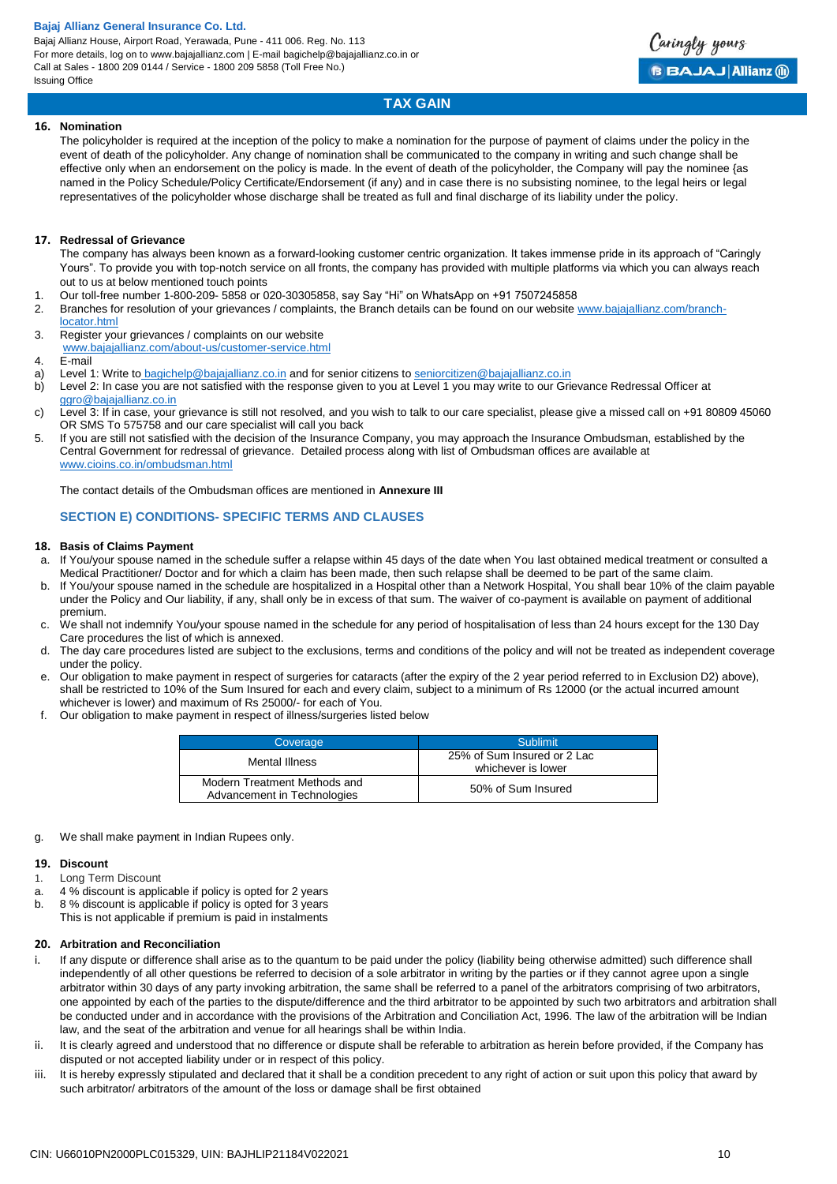Bajaj Allianz House, Airport Road, Yerawada, Pune - 411 006. Reg. No. 113 For more details, log on to www.bajajallianz.com | E-mail bagichelp@bajajallianz.co.in or Call at Sales - 1800 209 0144 / Service - 1800 209 5858 (Toll Free No.) Issuing Office



# **TAX GAIN**

### **16. Nomination**

The policyholder is required at the inception of the policy to make a nomination for the purpose of payment of claims under the policy in the event of death of the policyholder. Any change of nomination shall be communicated to the company in writing and such change shall be effective only when an endorsement on the policy is made. ln the event of death of the policyholder, the Company will pay the nominee {as named in the Policy Schedule/Policy Certificate/Endorsement (if any) and in case there is no subsisting nominee, to the legal heirs or legal representatives of the policyholder whose discharge shall be treated as full and final discharge of its liability under the policy.

### **17. Redressal of Grievance**

The company has always been known as a forward-looking customer centric organization. It takes immense pride in its approach of "Caringly Yours". To provide you with top-notch service on all fronts, the company has provided with multiple platforms via which you can always reach out to us at below mentioned touch points

- 1. Our toll-free number 1-800-209- 5858 or 020-30305858, say Say "Hi" on WhatsApp on +91 7507245858
- 2. Branches for resolution of your grievances / complaints, the Branch details can be found on our website [www.bajajallianz.com/branch](http://www.bajajallianz.com/branch-locator.html)[locator.html](http://www.bajajallianz.com/branch-locator.html)
- 3. Register your grievances / complaints on our website
- [www.bajajallianz.com/about-us/customer-service.html](http://www.bajajallianz.com/about-us/customer-service.html)
- 4. E-mail
- a) Level 1: Write to [bagichelp@bajajallianz.co.in](mailto:bagichelp@bajajallianz.co.in) and for senior citizens to [seniorcitizen@bajajallianz.co.in](mailto:seniorcitizen@bajajallianz.co.in)
- b) Level 2: In case you are not satisfied with the response given to you at Level 1 you may write to our Grievance Redressal Officer at [ggro@bajajallianz.co.in](mailto:ggro@bajajallianz.co.in)
- c) Level 3: If in case, your grievance is still not resolved, and you wish to talk to our care specialist, please give a missed call on +91 80809 45060 OR SMS To 575758 and our care specialist will call you back
- 5. If you are still not satisfied with the decision of the Insurance Company, you may approach the Insurance Ombudsman, established by the Central Government for redressal of grievance. Detailed process along with list of Ombudsman offices are available at [www.cioins.co.in/ombudsman.html](http://www.cioins.co.in/ombudsman.html)

The contact details of the Ombudsman offices are mentioned in **Annexure III**

# **SECTION E) CONDITIONS- SPECIFIC TERMS AND CLAUSES**

### **18. Basis of Claims Payment**

- a. If You/your spouse named in the schedule suffer a relapse within 45 days of the date when You last obtained medical treatment or consulted a Medical Practitioner/ Doctor and for which a claim has been made, then such relapse shall be deemed to be part of the same claim.
- b. If You/your spouse named in the schedule are hospitalized in a Hospital other than a Network Hospital, You shall bear 10% of the claim payable under the Policy and Our liability, if any, shall only be in excess of that sum. The waiver of co-payment is available on payment of additional premium.
- c. We shall not indemnify You/your spouse named in the schedule for any period of hospitalisation of less than 24 hours except for the 130 Day Care procedures the list of which is annexed.
- d. The day care procedures listed are subject to the exclusions, terms and conditions of the policy and will not be treated as independent coverage under the policy.
- e. Our obligation to make payment in respect of surgeries for cataracts (after the expiry of the 2 year period referred to in Exclusion D2) above), shall be restricted to 10% of the Sum Insured for each and every claim, subject to a minimum of Rs 12000 (or the actual incurred amount whichever is lower) and maximum of Rs 25000/- for each of You.
- f. Our obligation to make payment in respect of illness/surgeries listed below

| Coverage                                                    | Sublimit                                          |
|-------------------------------------------------------------|---------------------------------------------------|
| Mental Illness                                              | 25% of Sum Insured or 2 Lac<br>whichever is lower |
| Modern Treatment Methods and<br>Advancement in Technologies | 50% of Sum Insured                                |

g. We shall make payment in Indian Rupees only.

### **19. Discount**

- 1. Long Term Discount
- a.  $4\%$  discount is applicable if policy is opted for 2 years<br>b.  $8\%$  discount is applicable if policy is opted for 3 years
- b. 8 % discount is applicable if policy is opted for 3 years
- This is not applicable if premium is paid in instalments

## **20. Arbitration and Reconciliation**

- i. If any dispute or difference shall arise as to the quantum to be paid under the policy (liability being otherwise admitted) such difference shall independently of all other questions be referred to decision of a sole arbitrator in writing by the parties or if they cannot agree upon a single arbitrator within 30 days of any party invoking arbitration, the same shall be referred to a panel of the arbitrators comprising of two arbitrators, one appointed by each of the parties to the dispute/difference and the third arbitrator to be appointed by such two arbitrators and arbitration shall be conducted under and in accordance with the provisions of the Arbitration and Conciliation Act, 1996. The law of the arbitration will be Indian law, and the seat of the arbitration and venue for all hearings shall be within India.
- ii. It is clearly agreed and understood that no difference or dispute shall be referable to arbitration as herein before provided, if the Company has disputed or not accepted liability under or in respect of this policy.
- iii. It is hereby expressly stipulated and declared that it shall be a condition precedent to any right of action or suit upon this policy that award by such arbitrator/ arbitrators of the amount of the loss or damage shall be first obtained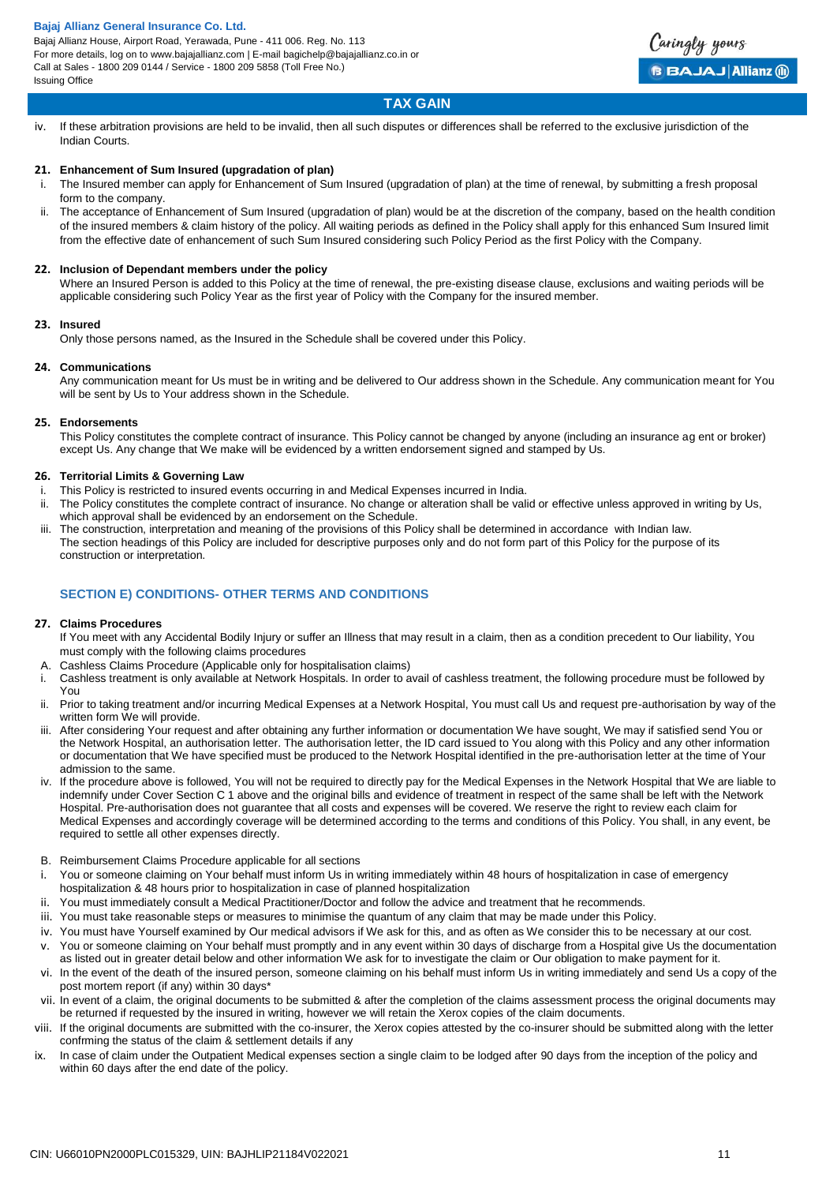

# **TAX GAIN**

iv. If these arbitration provisions are held to be invalid, then all such disputes or differences shall be referred to the exclusive jurisdiction of the Indian Courts.

# **21. Enhancement of Sum Insured (upgradation of plan)**

- The Insured member can apply for Enhancement of Sum Insured (upgradation of plan) at the time of renewal, by submitting a fresh proposal form to the company.
- The acceptance of Enhancement of Sum Insured (upgradation of plan) would be at the discretion of the company, based on the health condition of the insured members & claim history of the policy. All waiting periods as defined in the Policy shall apply for this enhanced Sum Insured limit from the effective date of enhancement of such Sum Insured considering such Policy Period as the first Policy with the Company.

# **22. Inclusion of Dependant members under the policy**

Where an Insured Person is added to this Policy at the time of renewal, the pre-existing disease clause, exclusions and waiting periods will be applicable considering such Policy Year as the first year of Policy with the Company for the insured member.

### **23. Insured**

Only those persons named, as the Insured in the Schedule shall be covered under this Policy.

### **24. Communications**

Any communication meant for Us must be in writing and be delivered to Our address shown in the Schedule. Any communication meant for You will be sent by Us to Your address shown in the Schedule.

# **25. Endorsements**

This Policy constitutes the complete contract of insurance. This Policy cannot be changed by anyone (including an insurance ag ent or broker) except Us. Any change that We make will be evidenced by a written endorsement signed and stamped by Us.

# **26. Territorial Limits & Governing Law**

- i. This Policy is restricted to insured events occurring in and Medical Expenses incurred in India.
- ii. The Policy constitutes the complete contract of insurance. No change or alteration shall be valid or effective unless approved in writing by Us, which approval shall be evidenced by an endorsement on the Schedule.
- The construction, interpretation and meaning of the provisions of this Policy shall be determined in accordance with Indian law. The section headings of this Policy are included for descriptive purposes only and do not form part of this Policy for the purpose of its construction or interpretation.

# **SECTION E) CONDITIONS- OTHER TERMS AND CONDITIONS**

### **27. Claims Procedures**

- If You meet with any Accidental Bodily Injury or suffer an Illness that may result in a claim, then as a condition precedent to Our liability, You must comply with the following claims procedures
- A. Cashless Claims Procedure (Applicable only for hospitalisation claims)
- i. Cashless treatment is only available at Network Hospitals. In order to avail of cashless treatment, the following procedure must be followed by You
- ii. Prior to taking treatment and/or incurring Medical Expenses at a Network Hospital, You must call Us and request pre-authorisation by way of the written form We will provide.
- iii. After considering Your request and after obtaining any further information or documentation We have sought, We may if satisfied send You or the Network Hospital, an authorisation letter. The authorisation letter, the ID card issued to You along with this Policy and any other information or documentation that We have specified must be produced to the Network Hospital identified in the pre-authorisation letter at the time of Your admission to the same.
- iv. If the procedure above is followed, You will not be required to directly pay for the Medical Expenses in the Network Hospital that We are liable to indemnify under Cover Section C 1 above and the original bills and evidence of treatment in respect of the same shall be left with the Network Hospital. Pre-authorisation does not guarantee that all costs and expenses will be covered. We reserve the right to review each claim for Medical Expenses and accordingly coverage will be determined according to the terms and conditions of this Policy. You shall, in any event, be required to settle all other expenses directly.
- B. Reimbursement Claims Procedure applicable for all sections
- i. You or someone claiming on Your behalf must inform Us in writing immediately within 48 hours of hospitalization in case of emergency hospitalization & 48 hours prior to hospitalization in case of planned hospitalization
- ii. You must immediately consult a Medical Practitioner/Doctor and follow the advice and treatment that he recommends.
- iii. You must take reasonable steps or measures to minimise the quantum of any claim that may be made under this Policy.
- iv. You must have Yourself examined by Our medical advisors if We ask for this, and as often as We consider this to be necessary at our cost.
- v. You or someone claiming on Your behalf must promptly and in any event within 30 days of discharge from a Hospital give Us the documentation as listed out in greater detail below and other information We ask for to investigate the claim or Our obligation to make payment for it.
- vi. In the event of the death of the insured person, someone claiming on his behalf must inform Us in writing immediately and send Us a copy of the post mortem report (if any) within 30 days\*
- vii. In event of a claim, the original documents to be submitted & after the completion of the claims assessment process the original documents may be returned if requested by the insured in writing, however we will retain the Xerox copies of the claim documents.
- viii. If the original documents are submitted with the co-insurer, the Xerox copies attested by the co-insurer should be submitted along with the letter confrming the status of the claim & settlement details if any
- ix. In case of claim under the Outpatient Medical expenses section a single claim to be lodged after 90 days from the inception of the policy and within 60 days after the end date of the policy.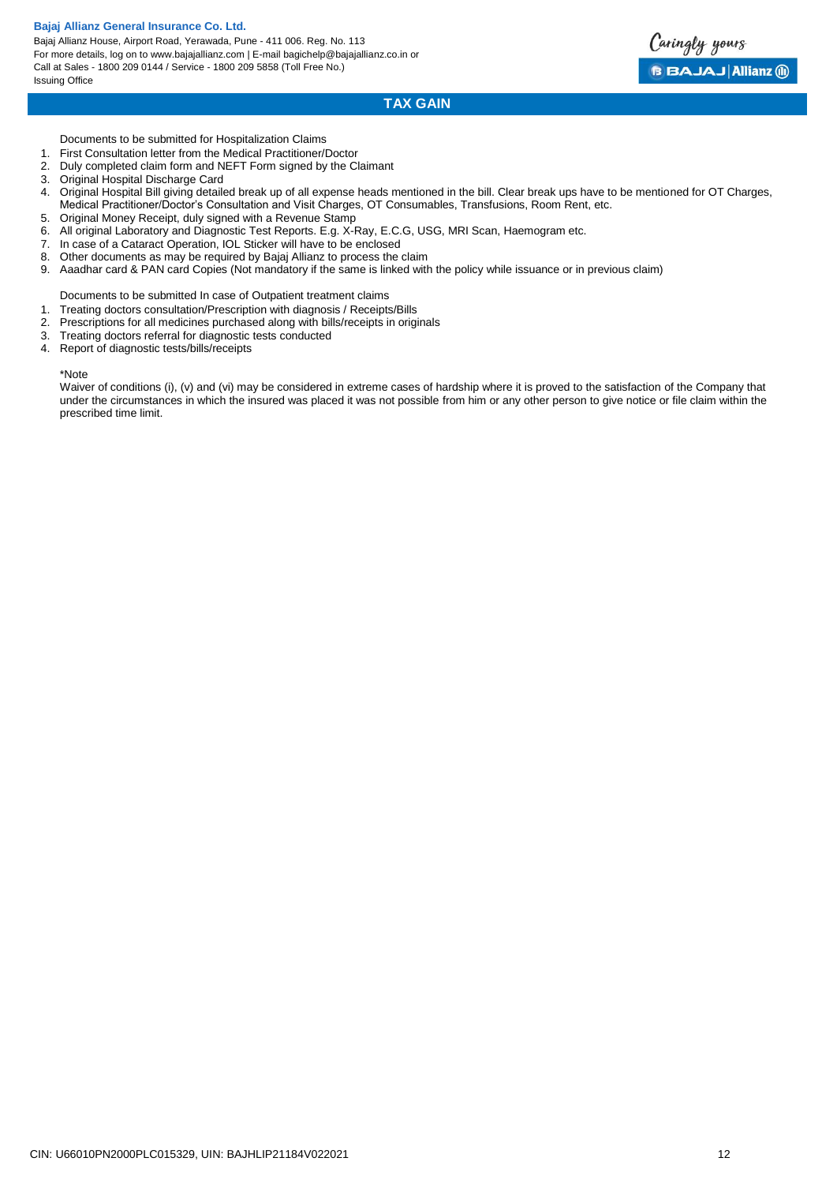Bajaj Allianz House, Airport Road, Yerawada, Pune - 411 006. Reg. No. 113 For more details, log on to www.bajajallianz.com | E-mail bagichelp@bajajallianz.co.in or Call at Sales - 1800 209 0144 / Service - 1800 209 5858 (Toll Free No.) Issuing Office



# **TAX GAIN**

Documents to be submitted for Hospitalization Claims

- 1. First Consultation letter from the Medical Practitioner/Doctor
- 2. Duly completed claim form and NEFT Form signed by the Claimant
- 3. Original Hospital Discharge Card
- 4. Original Hospital Bill giving detailed break up of all expense heads mentioned in the bill. Clear break ups have to be mentioned for OT Charges, Medical Practitioner/Doctor's Consultation and Visit Charges, OT Consumables, Transfusions, Room Rent, etc.
- 5. Original Money Receipt, duly signed with a Revenue Stamp
- 6. All original Laboratory and Diagnostic Test Reports. E.g. X-Ray, E.C.G, USG, MRI Scan, Haemogram etc.
- 7. In case of a Cataract Operation, IOL Sticker will have to be enclosed 8. Other documents as may be required by Bajaj Allianz to process the
- Other documents as may be required by Bajaj Allianz to process the claim
- 9. Aaadhar card & PAN card Copies (Not mandatory if the same is linked with the policy while issuance or in previous claim)
- Documents to be submitted In case of Outpatient treatment claims
- 1. Treating doctors consultation/Prescription with diagnosis / Receipts/Bills
- 2. Prescriptions for all medicines purchased along with bills/receipts in originals
- 3. Treating doctors referral for diagnostic tests conducted
- Report of diagnostic tests/bills/receipts

#### \*Note

Waiver of conditions (i), (v) and (vi) may be considered in extreme cases of hardship where it is proved to the satisfaction of the Company that under the circumstances in which the insured was placed it was not possible from him or any other person to give notice or file claim within the prescribed time limit.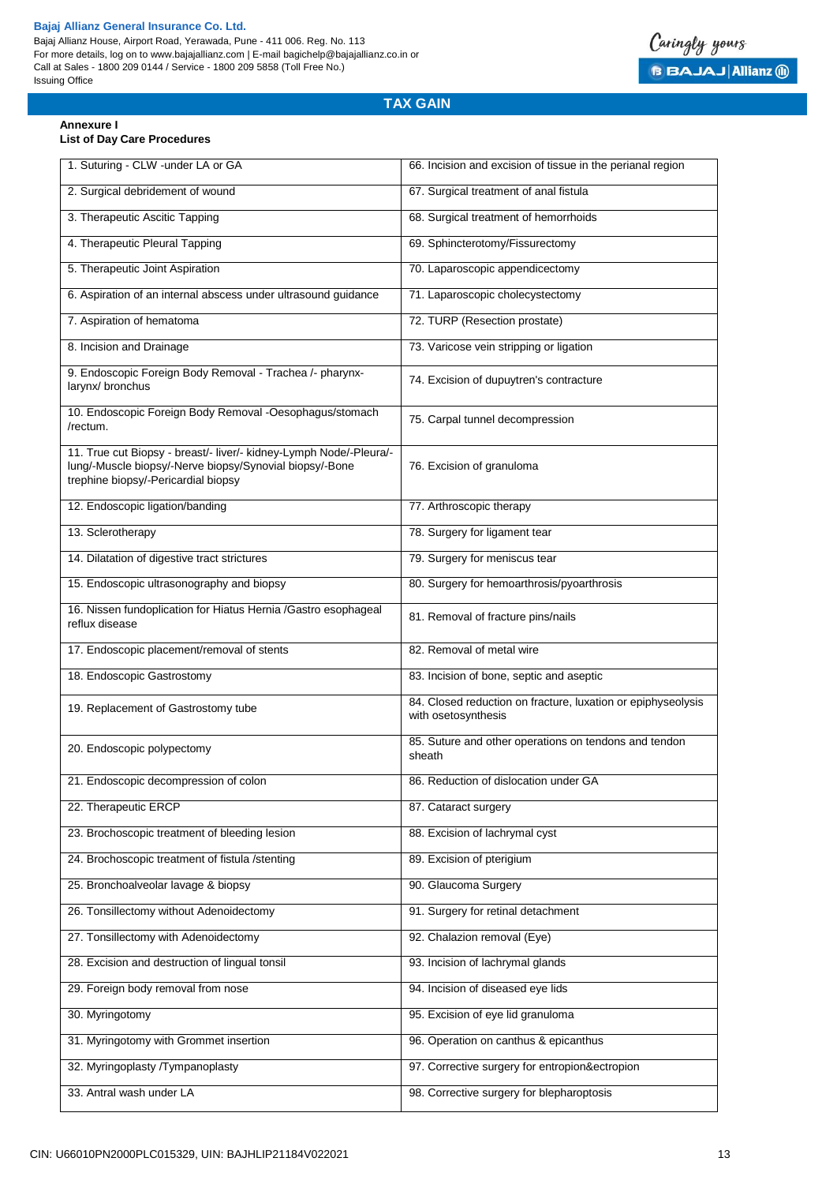

# **TAX GAIN**

### **Annexure I List of Day Care Procedures**

| 1. Suturing - CLW -under LA or GA                                                                                                                                    | 66. Incision and excision of tissue in the perianal region                          |
|----------------------------------------------------------------------------------------------------------------------------------------------------------------------|-------------------------------------------------------------------------------------|
| 2. Surgical debridement of wound                                                                                                                                     | 67. Surgical treatment of anal fistula                                              |
| 3. Therapeutic Ascitic Tapping                                                                                                                                       | 68. Surgical treatment of hemorrhoids                                               |
| 4. Therapeutic Pleural Tapping                                                                                                                                       | 69. Sphincterotomy/Fissurectomy                                                     |
| 5. Therapeutic Joint Aspiration                                                                                                                                      | 70. Laparoscopic appendicectomy                                                     |
| 6. Aspiration of an internal abscess under ultrasound guidance                                                                                                       | 71. Laparoscopic cholecystectomy                                                    |
| 7. Aspiration of hematoma                                                                                                                                            | 72. TURP (Resection prostate)                                                       |
| 8. Incision and Drainage                                                                                                                                             | 73. Varicose vein stripping or ligation                                             |
| 9. Endoscopic Foreign Body Removal - Trachea /- pharynx-<br>larynx/ bronchus                                                                                         | 74. Excision of dupuytren's contracture                                             |
| 10. Endoscopic Foreign Body Removal -Oesophagus/stomach<br>/rectum.                                                                                                  | 75. Carpal tunnel decompression                                                     |
| 11. True cut Biopsy - breast/- liver/- kidney-Lymph Node/-Pleura/-<br>lung/-Muscle biopsy/-Nerve biopsy/Synovial biopsy/-Bone<br>trephine biopsy/-Pericardial biopsy | 76. Excision of granuloma                                                           |
| 12. Endoscopic ligation/banding                                                                                                                                      | 77. Arthroscopic therapy                                                            |
| 13. Sclerotherapy                                                                                                                                                    | 78. Surgery for ligament tear                                                       |
| 14. Dilatation of digestive tract strictures                                                                                                                         | 79. Surgery for meniscus tear                                                       |
| 15. Endoscopic ultrasonography and biopsy                                                                                                                            | 80. Surgery for hemoarthrosis/pyoarthrosis                                          |
| 16. Nissen fundoplication for Hiatus Hernia /Gastro esophageal<br>reflux disease                                                                                     | 81. Removal of fracture pins/nails                                                  |
| 17. Endoscopic placement/removal of stents                                                                                                                           | 82. Removal of metal wire                                                           |
| 18. Endoscopic Gastrostomy                                                                                                                                           | 83. Incision of bone, septic and aseptic                                            |
| 19. Replacement of Gastrostomy tube                                                                                                                                  | 84. Closed reduction on fracture, luxation or epiphyseolysis<br>with osetosynthesis |
| 20. Endoscopic polypectomy                                                                                                                                           | 85. Suture and other operations on tendons and tendon<br>sheath                     |
| 21. Endoscopic decompression of colon                                                                                                                                | 86. Reduction of dislocation under GA                                               |
| 22. Therapeutic ERCP                                                                                                                                                 | 87. Cataract surgery                                                                |
| 23. Brochoscopic treatment of bleeding lesion                                                                                                                        | 88. Excision of lachrymal cyst                                                      |
| 24. Brochoscopic treatment of fistula /stenting                                                                                                                      | 89. Excision of pterigium                                                           |
| 25. Bronchoalveolar lavage & biopsy                                                                                                                                  | 90. Glaucoma Surgery                                                                |
| 26. Tonsillectomy without Adenoidectomy                                                                                                                              | 91. Surgery for retinal detachment                                                  |
| 27. Tonsillectomy with Adenoidectomy                                                                                                                                 | 92. Chalazion removal (Eye)                                                         |
| 28. Excision and destruction of lingual tonsil                                                                                                                       | 93. Incision of lachrymal glands                                                    |
| 29. Foreign body removal from nose                                                                                                                                   | 94. Incision of diseased eye lids                                                   |
| 30. Myringotomy                                                                                                                                                      | 95. Excision of eye lid granuloma                                                   |
| 31. Myringotomy with Grommet insertion                                                                                                                               | 96. Operation on canthus & epicanthus                                               |
| 32. Myringoplasty /Tympanoplasty                                                                                                                                     | 97. Corrective surgery for entropion&ectropion                                      |
| 33. Antral wash under LA                                                                                                                                             | 98. Corrective surgery for blepharoptosis                                           |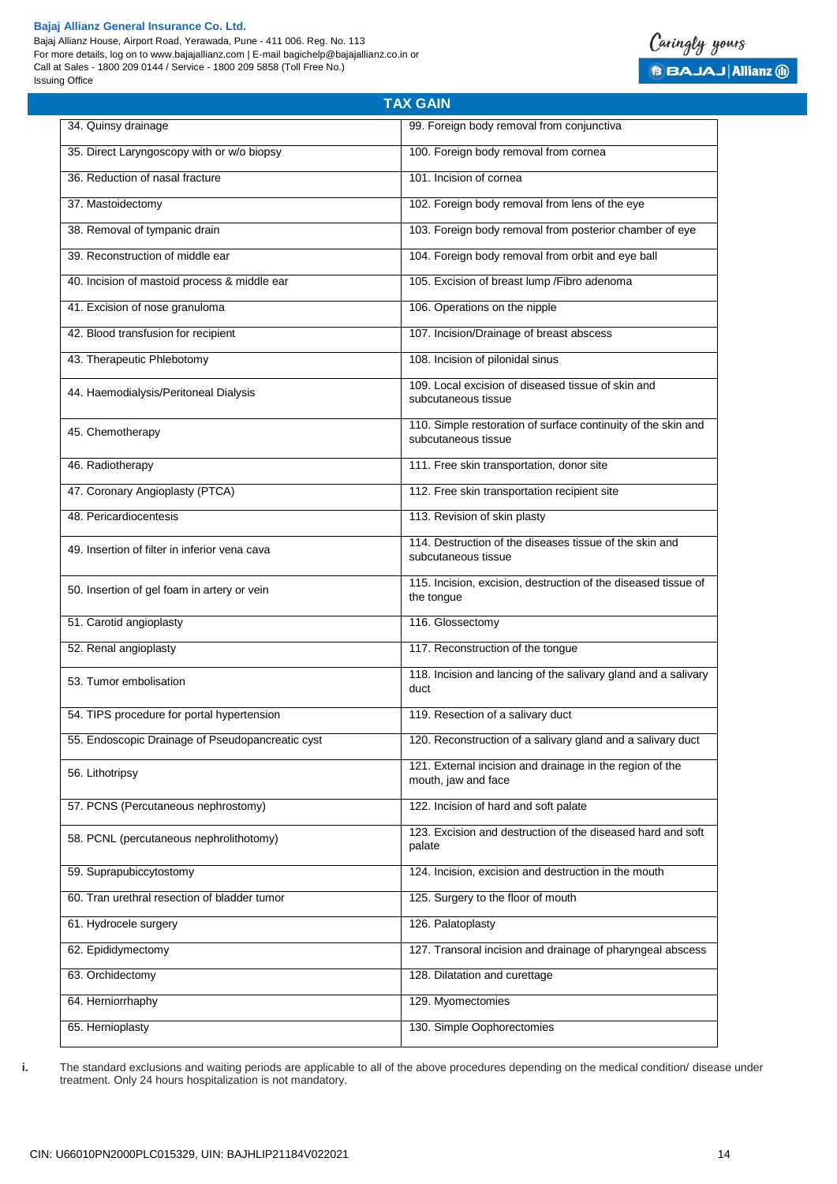Bajaj Allianz House, Airport Road, Yerawada, Pune - 411 006. Reg. No. 113 For more details, log on to www.bajajallianz.com | E-mail bagichelp@bajajallianz.co.in or Call at Sales - 1800 209 0144 / Service - 1800 209 5858 (Toll Free No.) Issuing Office



|                                                  | <b>TAX GAIN</b>                                                                      |
|--------------------------------------------------|--------------------------------------------------------------------------------------|
| 34. Quinsy drainage                              | 99. Foreign body removal from conjunctiva                                            |
| 35. Direct Laryngoscopy with or w/o biopsy       | 100. Foreign body removal from cornea                                                |
| 36. Reduction of nasal fracture                  | 101. Incision of cornea                                                              |
| 37. Mastoidectomy                                | 102. Foreign body removal from lens of the eye                                       |
| 38. Removal of tympanic drain                    | 103. Foreign body removal from posterior chamber of eye                              |
| 39. Reconstruction of middle ear                 | 104. Foreign body removal from orbit and eye ball                                    |
| 40. Incision of mastoid process & middle ear     | 105. Excision of breast lump / Fibro adenoma                                         |
| 41. Excision of nose granuloma                   | 106. Operations on the nipple                                                        |
| 42. Blood transfusion for recipient              | 107. Incision/Drainage of breast abscess                                             |
| 43. Therapeutic Phlebotomy                       | 108. Incision of pilonidal sinus                                                     |
| 44. Haemodialysis/Peritoneal Dialysis            | 109. Local excision of diseased tissue of skin and<br>subcutaneous tissue            |
| 45. Chemotherapy                                 | 110. Simple restoration of surface continuity of the skin and<br>subcutaneous tissue |
| 46. Radiotherapy                                 | 111. Free skin transportation, donor site                                            |
| 47. Coronary Angioplasty (PTCA)                  | 112. Free skin transportation recipient site                                         |
| 48. Pericardiocentesis                           | 113. Revision of skin plasty                                                         |
| 49. Insertion of filter in inferior vena cava    | 114. Destruction of the diseases tissue of the skin and<br>subcutaneous tissue       |
| 50. Insertion of gel foam in artery or vein      | 115. Incision, excision, destruction of the diseased tissue of<br>the tongue         |
| 51. Carotid angioplasty                          | 116. Glossectomy                                                                     |
| 52. Renal angioplasty                            | 117. Reconstruction of the tongue                                                    |
| 53. Tumor embolisation                           | 118. Incision and lancing of the salivary gland and a salivary<br>duct               |
| 54. TIPS procedure for portal hypertension       | 119. Resection of a salivary duct                                                    |
| 55. Endoscopic Drainage of Pseudopancreatic cyst | 120. Reconstruction of a salivary gland and a salivary duct                          |
| 56. Lithotripsy                                  | 121. External incision and drainage in the region of the<br>mouth, jaw and face      |
| 57. PCNS (Percutaneous nephrostomy)              | 122. Incision of hard and soft palate                                                |
| 58. PCNL (percutaneous nephrolithotomy)          | 123. Excision and destruction of the diseased hard and soft<br>palate                |
| 59. Suprapubiccytostomy                          | 124. Incision, excision and destruction in the mouth                                 |
| 60. Tran urethral resection of bladder tumor     | 125. Surgery to the floor of mouth                                                   |
| 61. Hydrocele surgery                            | 126. Palatoplasty                                                                    |
| 62. Epididymectomy                               | 127. Transoral incision and drainage of pharyngeal abscess                           |
| 63. Orchidectomy                                 | 128. Dilatation and curettage                                                        |
| 64. Herniorrhaphy                                | 129. Myomectomies                                                                    |
| 65. Hernioplasty                                 | 130. Simple Oophorectomies                                                           |

**i.** The standard exclusions and waiting periods are applicable to all of the above procedures depending on the medical condition/ disease under treatment. Only 24 hours hospitalization is not mandatory.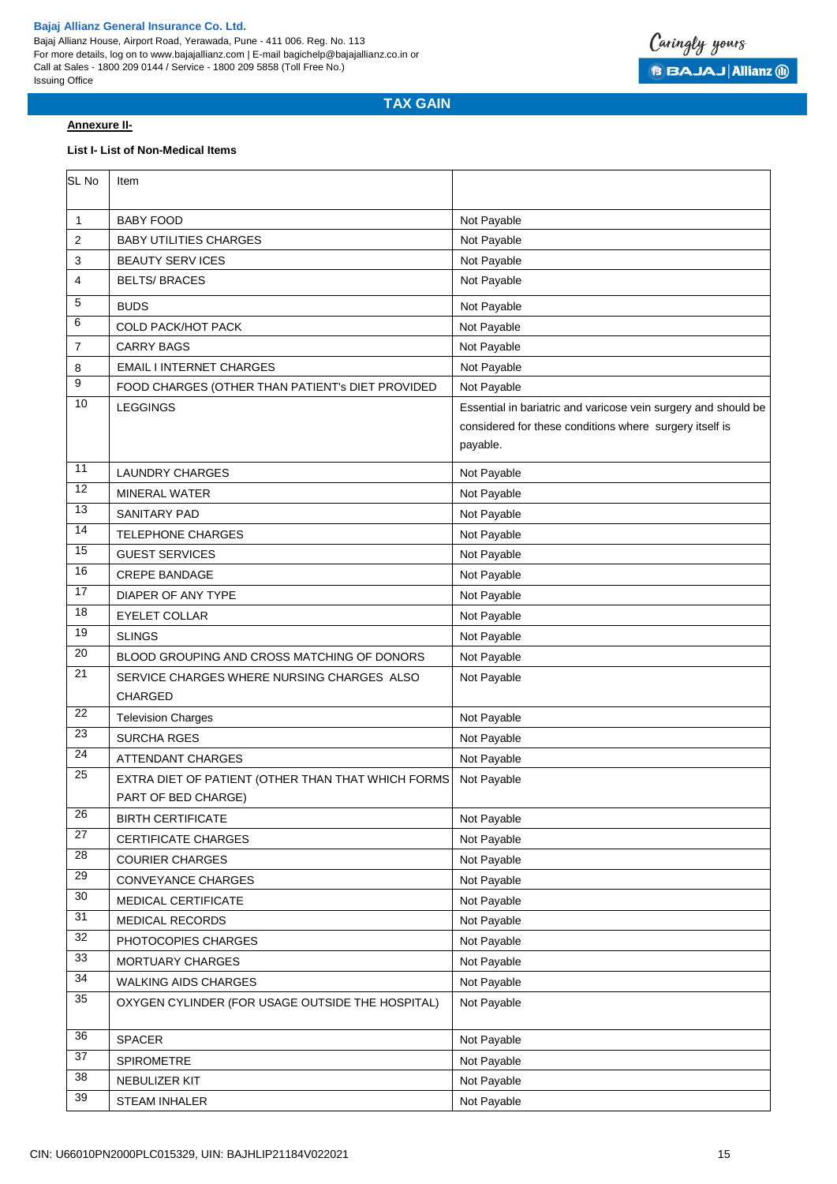Bajaj Allianz House, Airport Road, Yerawada, Pune - 411 006. Reg. No. 113 For more details, log on to www.bajajallianz.com | E-mail bagichelp@bajajallianz.co.in or Call at Sales - 1800 209 0144 / Service - 1800 209 5858 (Toll Free No.) Issuing Office



# **TAX GAIN**

### **Annexure II-**

## **List I- List of Non-Medical Items**

| <b>BABY FOOD</b><br>Not Payable<br>1<br>2<br><b>BABY UTILITIES CHARGES</b><br>Not Payable<br><b>BEAUTY SERV ICES</b><br>Not Payable<br>3<br>Not Payable<br>4<br><b>BELTS/BRACES</b><br>5<br><b>BUDS</b><br>Not Payable<br>6<br><b>COLD PACK/HOT PACK</b><br>Not Payable<br>Not Payable<br>7<br><b>CARRY BAGS</b><br>Not Payable<br>8<br><b>EMAIL I INTERNET CHARGES</b><br>9<br>Not Payable<br>FOOD CHARGES (OTHER THAN PATIENT's DIET PROVIDED<br>10<br><b>LEGGINGS</b><br>Essential in bariatric and varicose vein surgery and should be<br>considered for these conditions where surgery itself is<br>payable.<br>11<br><b>LAUNDRY CHARGES</b><br>Not Payable<br>12<br>Not Payable<br><b>MINERAL WATER</b><br>13<br><b>SANITARY PAD</b><br>Not Payable<br>$\overline{14}$<br><b>TELEPHONE CHARGES</b><br>Not Payable<br>15<br><b>GUEST SERVICES</b><br>Not Payable<br>16<br><b>CREPE BANDAGE</b><br>Not Payable<br>17<br>DIAPER OF ANY TYPE<br>Not Payable<br>18<br>Not Payable<br><b>EYELET COLLAR</b><br>19<br><b>SLINGS</b><br>Not Payable<br>20<br>Not Payable<br>BLOOD GROUPING AND CROSS MATCHING OF DONORS<br>21<br>SERVICE CHARGES WHERE NURSING CHARGES ALSO<br>Not Payable<br>CHARGED<br>22<br>Not Payable<br><b>Television Charges</b><br>23<br><b>SURCHA RGES</b><br>Not Payable<br>24<br>Not Payable<br>ATTENDANT CHARGES<br>25<br>EXTRA DIET OF PATIENT (OTHER THAN THAT WHICH FORMS<br>Not Payable<br>PART OF BED CHARGE)<br>$\overline{26}$<br><b>BIRTH CERTIFICATE</b><br>Not Payable<br>27<br><b>CERTIFICATE CHARGES</b><br>Not Payable<br>$\overline{28}$<br><b>COURIER CHARGES</b><br>Not Payable<br>29<br>CONVEYANCE CHARGES<br>Not Payable<br>30<br>MEDICAL CERTIFICATE<br>Not Payable<br>31<br><b>MEDICAL RECORDS</b><br>Not Payable<br>32<br>PHOTOCOPIES CHARGES<br>Not Payable<br>33<br>Not Payable<br>MORTUARY CHARGES<br>34<br><b>WALKING AIDS CHARGES</b><br>Not Payable<br>$\overline{35}$<br>Not Payable<br>OXYGEN CYLINDER (FOR USAGE OUTSIDE THE HOSPITAL)<br>36<br>SPACER<br>Not Payable<br>37<br>SPIROMETRE<br>Not Payable<br>$\overline{38}$<br>NEBULIZER KIT<br>Not Payable<br>39 | SL No | Item          |             |
|--------------------------------------------------------------------------------------------------------------------------------------------------------------------------------------------------------------------------------------------------------------------------------------------------------------------------------------------------------------------------------------------------------------------------------------------------------------------------------------------------------------------------------------------------------------------------------------------------------------------------------------------------------------------------------------------------------------------------------------------------------------------------------------------------------------------------------------------------------------------------------------------------------------------------------------------------------------------------------------------------------------------------------------------------------------------------------------------------------------------------------------------------------------------------------------------------------------------------------------------------------------------------------------------------------------------------------------------------------------------------------------------------------------------------------------------------------------------------------------------------------------------------------------------------------------------------------------------------------------------------------------------------------------------------------------------------------------------------------------------------------------------------------------------------------------------------------------------------------------------------------------------------------------------------------------------------------------------------------------------------------------------------------------------------------------------------------------------------------------------------|-------|---------------|-------------|
|                                                                                                                                                                                                                                                                                                                                                                                                                                                                                                                                                                                                                                                                                                                                                                                                                                                                                                                                                                                                                                                                                                                                                                                                                                                                                                                                                                                                                                                                                                                                                                                                                                                                                                                                                                                                                                                                                                                                                                                                                                                                                                                          |       |               |             |
|                                                                                                                                                                                                                                                                                                                                                                                                                                                                                                                                                                                                                                                                                                                                                                                                                                                                                                                                                                                                                                                                                                                                                                                                                                                                                                                                                                                                                                                                                                                                                                                                                                                                                                                                                                                                                                                                                                                                                                                                                                                                                                                          |       |               |             |
|                                                                                                                                                                                                                                                                                                                                                                                                                                                                                                                                                                                                                                                                                                                                                                                                                                                                                                                                                                                                                                                                                                                                                                                                                                                                                                                                                                                                                                                                                                                                                                                                                                                                                                                                                                                                                                                                                                                                                                                                                                                                                                                          |       |               |             |
|                                                                                                                                                                                                                                                                                                                                                                                                                                                                                                                                                                                                                                                                                                                                                                                                                                                                                                                                                                                                                                                                                                                                                                                                                                                                                                                                                                                                                                                                                                                                                                                                                                                                                                                                                                                                                                                                                                                                                                                                                                                                                                                          |       |               |             |
|                                                                                                                                                                                                                                                                                                                                                                                                                                                                                                                                                                                                                                                                                                                                                                                                                                                                                                                                                                                                                                                                                                                                                                                                                                                                                                                                                                                                                                                                                                                                                                                                                                                                                                                                                                                                                                                                                                                                                                                                                                                                                                                          |       |               |             |
|                                                                                                                                                                                                                                                                                                                                                                                                                                                                                                                                                                                                                                                                                                                                                                                                                                                                                                                                                                                                                                                                                                                                                                                                                                                                                                                                                                                                                                                                                                                                                                                                                                                                                                                                                                                                                                                                                                                                                                                                                                                                                                                          |       |               |             |
|                                                                                                                                                                                                                                                                                                                                                                                                                                                                                                                                                                                                                                                                                                                                                                                                                                                                                                                                                                                                                                                                                                                                                                                                                                                                                                                                                                                                                                                                                                                                                                                                                                                                                                                                                                                                                                                                                                                                                                                                                                                                                                                          |       |               |             |
|                                                                                                                                                                                                                                                                                                                                                                                                                                                                                                                                                                                                                                                                                                                                                                                                                                                                                                                                                                                                                                                                                                                                                                                                                                                                                                                                                                                                                                                                                                                                                                                                                                                                                                                                                                                                                                                                                                                                                                                                                                                                                                                          |       |               |             |
|                                                                                                                                                                                                                                                                                                                                                                                                                                                                                                                                                                                                                                                                                                                                                                                                                                                                                                                                                                                                                                                                                                                                                                                                                                                                                                                                                                                                                                                                                                                                                                                                                                                                                                                                                                                                                                                                                                                                                                                                                                                                                                                          |       |               |             |
|                                                                                                                                                                                                                                                                                                                                                                                                                                                                                                                                                                                                                                                                                                                                                                                                                                                                                                                                                                                                                                                                                                                                                                                                                                                                                                                                                                                                                                                                                                                                                                                                                                                                                                                                                                                                                                                                                                                                                                                                                                                                                                                          |       |               |             |
|                                                                                                                                                                                                                                                                                                                                                                                                                                                                                                                                                                                                                                                                                                                                                                                                                                                                                                                                                                                                                                                                                                                                                                                                                                                                                                                                                                                                                                                                                                                                                                                                                                                                                                                                                                                                                                                                                                                                                                                                                                                                                                                          |       |               |             |
|                                                                                                                                                                                                                                                                                                                                                                                                                                                                                                                                                                                                                                                                                                                                                                                                                                                                                                                                                                                                                                                                                                                                                                                                                                                                                                                                                                                                                                                                                                                                                                                                                                                                                                                                                                                                                                                                                                                                                                                                                                                                                                                          |       |               |             |
|                                                                                                                                                                                                                                                                                                                                                                                                                                                                                                                                                                                                                                                                                                                                                                                                                                                                                                                                                                                                                                                                                                                                                                                                                                                                                                                                                                                                                                                                                                                                                                                                                                                                                                                                                                                                                                                                                                                                                                                                                                                                                                                          |       |               |             |
|                                                                                                                                                                                                                                                                                                                                                                                                                                                                                                                                                                                                                                                                                                                                                                                                                                                                                                                                                                                                                                                                                                                                                                                                                                                                                                                                                                                                                                                                                                                                                                                                                                                                                                                                                                                                                                                                                                                                                                                                                                                                                                                          |       |               |             |
|                                                                                                                                                                                                                                                                                                                                                                                                                                                                                                                                                                                                                                                                                                                                                                                                                                                                                                                                                                                                                                                                                                                                                                                                                                                                                                                                                                                                                                                                                                                                                                                                                                                                                                                                                                                                                                                                                                                                                                                                                                                                                                                          |       |               |             |
|                                                                                                                                                                                                                                                                                                                                                                                                                                                                                                                                                                                                                                                                                                                                                                                                                                                                                                                                                                                                                                                                                                                                                                                                                                                                                                                                                                                                                                                                                                                                                                                                                                                                                                                                                                                                                                                                                                                                                                                                                                                                                                                          |       |               |             |
|                                                                                                                                                                                                                                                                                                                                                                                                                                                                                                                                                                                                                                                                                                                                                                                                                                                                                                                                                                                                                                                                                                                                                                                                                                                                                                                                                                                                                                                                                                                                                                                                                                                                                                                                                                                                                                                                                                                                                                                                                                                                                                                          |       |               |             |
|                                                                                                                                                                                                                                                                                                                                                                                                                                                                                                                                                                                                                                                                                                                                                                                                                                                                                                                                                                                                                                                                                                                                                                                                                                                                                                                                                                                                                                                                                                                                                                                                                                                                                                                                                                                                                                                                                                                                                                                                                                                                                                                          |       |               |             |
|                                                                                                                                                                                                                                                                                                                                                                                                                                                                                                                                                                                                                                                                                                                                                                                                                                                                                                                                                                                                                                                                                                                                                                                                                                                                                                                                                                                                                                                                                                                                                                                                                                                                                                                                                                                                                                                                                                                                                                                                                                                                                                                          |       |               |             |
|                                                                                                                                                                                                                                                                                                                                                                                                                                                                                                                                                                                                                                                                                                                                                                                                                                                                                                                                                                                                                                                                                                                                                                                                                                                                                                                                                                                                                                                                                                                                                                                                                                                                                                                                                                                                                                                                                                                                                                                                                                                                                                                          |       |               |             |
|                                                                                                                                                                                                                                                                                                                                                                                                                                                                                                                                                                                                                                                                                                                                                                                                                                                                                                                                                                                                                                                                                                                                                                                                                                                                                                                                                                                                                                                                                                                                                                                                                                                                                                                                                                                                                                                                                                                                                                                                                                                                                                                          |       |               |             |
|                                                                                                                                                                                                                                                                                                                                                                                                                                                                                                                                                                                                                                                                                                                                                                                                                                                                                                                                                                                                                                                                                                                                                                                                                                                                                                                                                                                                                                                                                                                                                                                                                                                                                                                                                                                                                                                                                                                                                                                                                                                                                                                          |       |               |             |
|                                                                                                                                                                                                                                                                                                                                                                                                                                                                                                                                                                                                                                                                                                                                                                                                                                                                                                                                                                                                                                                                                                                                                                                                                                                                                                                                                                                                                                                                                                                                                                                                                                                                                                                                                                                                                                                                                                                                                                                                                                                                                                                          |       |               |             |
|                                                                                                                                                                                                                                                                                                                                                                                                                                                                                                                                                                                                                                                                                                                                                                                                                                                                                                                                                                                                                                                                                                                                                                                                                                                                                                                                                                                                                                                                                                                                                                                                                                                                                                                                                                                                                                                                                                                                                                                                                                                                                                                          |       |               |             |
|                                                                                                                                                                                                                                                                                                                                                                                                                                                                                                                                                                                                                                                                                                                                                                                                                                                                                                                                                                                                                                                                                                                                                                                                                                                                                                                                                                                                                                                                                                                                                                                                                                                                                                                                                                                                                                                                                                                                                                                                                                                                                                                          |       |               |             |
|                                                                                                                                                                                                                                                                                                                                                                                                                                                                                                                                                                                                                                                                                                                                                                                                                                                                                                                                                                                                                                                                                                                                                                                                                                                                                                                                                                                                                                                                                                                                                                                                                                                                                                                                                                                                                                                                                                                                                                                                                                                                                                                          |       |               |             |
|                                                                                                                                                                                                                                                                                                                                                                                                                                                                                                                                                                                                                                                                                                                                                                                                                                                                                                                                                                                                                                                                                                                                                                                                                                                                                                                                                                                                                                                                                                                                                                                                                                                                                                                                                                                                                                                                                                                                                                                                                                                                                                                          |       |               |             |
|                                                                                                                                                                                                                                                                                                                                                                                                                                                                                                                                                                                                                                                                                                                                                                                                                                                                                                                                                                                                                                                                                                                                                                                                                                                                                                                                                                                                                                                                                                                                                                                                                                                                                                                                                                                                                                                                                                                                                                                                                                                                                                                          |       |               |             |
|                                                                                                                                                                                                                                                                                                                                                                                                                                                                                                                                                                                                                                                                                                                                                                                                                                                                                                                                                                                                                                                                                                                                                                                                                                                                                                                                                                                                                                                                                                                                                                                                                                                                                                                                                                                                                                                                                                                                                                                                                                                                                                                          |       |               |             |
|                                                                                                                                                                                                                                                                                                                                                                                                                                                                                                                                                                                                                                                                                                                                                                                                                                                                                                                                                                                                                                                                                                                                                                                                                                                                                                                                                                                                                                                                                                                                                                                                                                                                                                                                                                                                                                                                                                                                                                                                                                                                                                                          |       |               |             |
|                                                                                                                                                                                                                                                                                                                                                                                                                                                                                                                                                                                                                                                                                                                                                                                                                                                                                                                                                                                                                                                                                                                                                                                                                                                                                                                                                                                                                                                                                                                                                                                                                                                                                                                                                                                                                                                                                                                                                                                                                                                                                                                          |       |               |             |
|                                                                                                                                                                                                                                                                                                                                                                                                                                                                                                                                                                                                                                                                                                                                                                                                                                                                                                                                                                                                                                                                                                                                                                                                                                                                                                                                                                                                                                                                                                                                                                                                                                                                                                                                                                                                                                                                                                                                                                                                                                                                                                                          |       |               |             |
|                                                                                                                                                                                                                                                                                                                                                                                                                                                                                                                                                                                                                                                                                                                                                                                                                                                                                                                                                                                                                                                                                                                                                                                                                                                                                                                                                                                                                                                                                                                                                                                                                                                                                                                                                                                                                                                                                                                                                                                                                                                                                                                          |       |               |             |
|                                                                                                                                                                                                                                                                                                                                                                                                                                                                                                                                                                                                                                                                                                                                                                                                                                                                                                                                                                                                                                                                                                                                                                                                                                                                                                                                                                                                                                                                                                                                                                                                                                                                                                                                                                                                                                                                                                                                                                                                                                                                                                                          |       |               |             |
|                                                                                                                                                                                                                                                                                                                                                                                                                                                                                                                                                                                                                                                                                                                                                                                                                                                                                                                                                                                                                                                                                                                                                                                                                                                                                                                                                                                                                                                                                                                                                                                                                                                                                                                                                                                                                                                                                                                                                                                                                                                                                                                          |       |               |             |
|                                                                                                                                                                                                                                                                                                                                                                                                                                                                                                                                                                                                                                                                                                                                                                                                                                                                                                                                                                                                                                                                                                                                                                                                                                                                                                                                                                                                                                                                                                                                                                                                                                                                                                                                                                                                                                                                                                                                                                                                                                                                                                                          |       |               |             |
|                                                                                                                                                                                                                                                                                                                                                                                                                                                                                                                                                                                                                                                                                                                                                                                                                                                                                                                                                                                                                                                                                                                                                                                                                                                                                                                                                                                                                                                                                                                                                                                                                                                                                                                                                                                                                                                                                                                                                                                                                                                                                                                          |       |               |             |
|                                                                                                                                                                                                                                                                                                                                                                                                                                                                                                                                                                                                                                                                                                                                                                                                                                                                                                                                                                                                                                                                                                                                                                                                                                                                                                                                                                                                                                                                                                                                                                                                                                                                                                                                                                                                                                                                                                                                                                                                                                                                                                                          |       |               |             |
|                                                                                                                                                                                                                                                                                                                                                                                                                                                                                                                                                                                                                                                                                                                                                                                                                                                                                                                                                                                                                                                                                                                                                                                                                                                                                                                                                                                                                                                                                                                                                                                                                                                                                                                                                                                                                                                                                                                                                                                                                                                                                                                          |       |               |             |
|                                                                                                                                                                                                                                                                                                                                                                                                                                                                                                                                                                                                                                                                                                                                                                                                                                                                                                                                                                                                                                                                                                                                                                                                                                                                                                                                                                                                                                                                                                                                                                                                                                                                                                                                                                                                                                                                                                                                                                                                                                                                                                                          |       |               |             |
|                                                                                                                                                                                                                                                                                                                                                                                                                                                                                                                                                                                                                                                                                                                                                                                                                                                                                                                                                                                                                                                                                                                                                                                                                                                                                                                                                                                                                                                                                                                                                                                                                                                                                                                                                                                                                                                                                                                                                                                                                                                                                                                          |       |               |             |
|                                                                                                                                                                                                                                                                                                                                                                                                                                                                                                                                                                                                                                                                                                                                                                                                                                                                                                                                                                                                                                                                                                                                                                                                                                                                                                                                                                                                                                                                                                                                                                                                                                                                                                                                                                                                                                                                                                                                                                                                                                                                                                                          |       |               |             |
|                                                                                                                                                                                                                                                                                                                                                                                                                                                                                                                                                                                                                                                                                                                                                                                                                                                                                                                                                                                                                                                                                                                                                                                                                                                                                                                                                                                                                                                                                                                                                                                                                                                                                                                                                                                                                                                                                                                                                                                                                                                                                                                          |       | STEAM INHALER | Not Payable |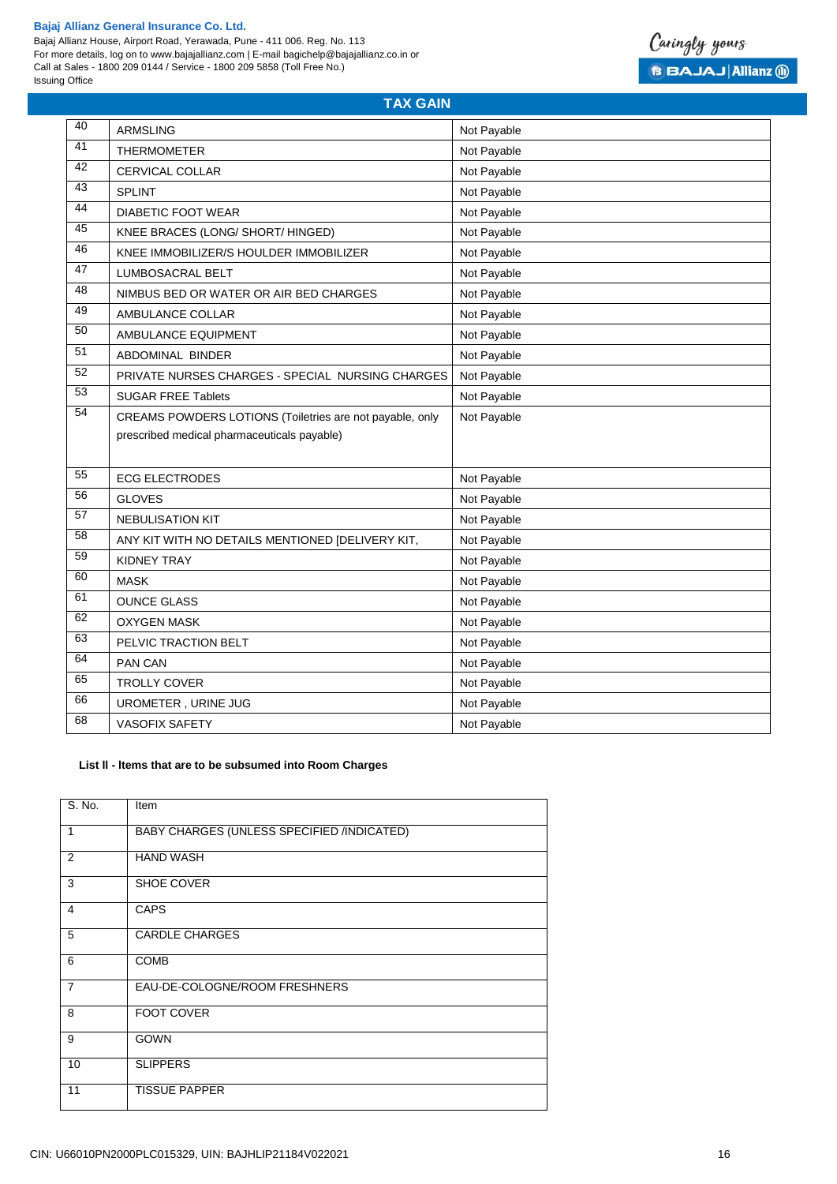Bajaj Allianz House, Airport Road, Yerawada, Pune - 411 006. Reg. No. 113 For more details, log on to www.bajajallianz.com | E-mail bagichelp@bajajallianz.co.in or Call at Sales - 1800 209 0144 / Service - 1800 209 5858 (Toll Free No.) Issuing Office



| 40              | <b>ARMSLING</b>                                          | Not Payable |
|-----------------|----------------------------------------------------------|-------------|
| 41              | <b>THERMOMETER</b>                                       | Not Payable |
| 42              | <b>CERVICAL COLLAR</b>                                   | Not Payable |
| 43              | <b>SPLINT</b>                                            | Not Payable |
| 44              | <b>DIABETIC FOOT WEAR</b>                                | Not Payable |
| 45              | KNEE BRACES (LONG/ SHORT/ HINGED)                        | Not Payable |
| 46              | KNEE IMMOBILIZER/S HOULDER IMMOBILIZER                   | Not Payable |
| 47              | <b>LUMBOSACRAL BELT</b>                                  | Not Payable |
| 48              | NIMBUS BED OR WATER OR AIR BED CHARGES                   | Not Payable |
| 49              | AMBULANCE COLLAR                                         | Not Payable |
| 50              | AMBULANCE EQUIPMENT                                      | Not Payable |
| $\overline{51}$ | ABDOMINAL BINDER                                         | Not Payable |
| 52              | PRIVATE NURSES CHARGES - SPECIAL NURSING CHARGES         | Not Payable |
| 53              | <b>SUGAR FREE Tablets</b>                                | Not Payable |
| 54              | CREAMS POWDERS LOTIONS (Toiletries are not payable, only | Not Payable |
|                 | prescribed medical pharmaceuticals payable)              |             |
|                 |                                                          |             |
| 55              | <b>ECG ELECTRODES</b>                                    | Not Payable |
| $\overline{56}$ | <b>GLOVES</b>                                            | Not Payable |
| $\overline{57}$ | <b>NEBULISATION KIT</b>                                  | Not Payable |
| $\overline{58}$ | ANY KIT WITH NO DETAILS MENTIONED [DELIVERY KIT,         | Not Payable |
| 59              | <b>KIDNEY TRAY</b>                                       | Not Payable |
| 60              | <b>MASK</b>                                              | Not Payable |
| 61              | <b>OUNCE GLASS</b>                                       | Not Payable |
| 62              | <b>OXYGEN MASK</b>                                       | Not Payable |
| 63              | PELVIC TRACTION BELT                                     | Not Payable |
| 64              | PAN CAN                                                  | Not Payable |
| 65              | TROLLY COVER                                             | Not Payable |
| 66              | UROMETER, URINE JUG                                      | Not Payable |
| 68              | VASOFIX SAFETY                                           | Not Payable |

**TAX GAIN**

# **List ll - ltems that are to be subsumed into Room Charges**

| S. No.                  | Item                                       |
|-------------------------|--------------------------------------------|
| $\mathbf{1}$            | BABY CHARGES (UNLESS SPECIFIED /INDICATED) |
| 2                       | <b>HAND WASH</b>                           |
| $\overline{3}$          | SHOE COVER                                 |
| $\overline{4}$          | <b>CAPS</b>                                |
| 5                       | <b>CARDLE CHARGES</b>                      |
| - 6                     | <b>COMB</b>                                |
| $\overline{7}$          | EAU-DE-COLOGNE/ROOM FRESHNERS              |
| $\overline{\mathbf{8}}$ | <b>FOOT COVER</b>                          |
| 9                       | <b>GOWN</b>                                |
| 10                      | <b>SLIPPERS</b>                            |
| 11                      | <b>TISSUE PAPPER</b>                       |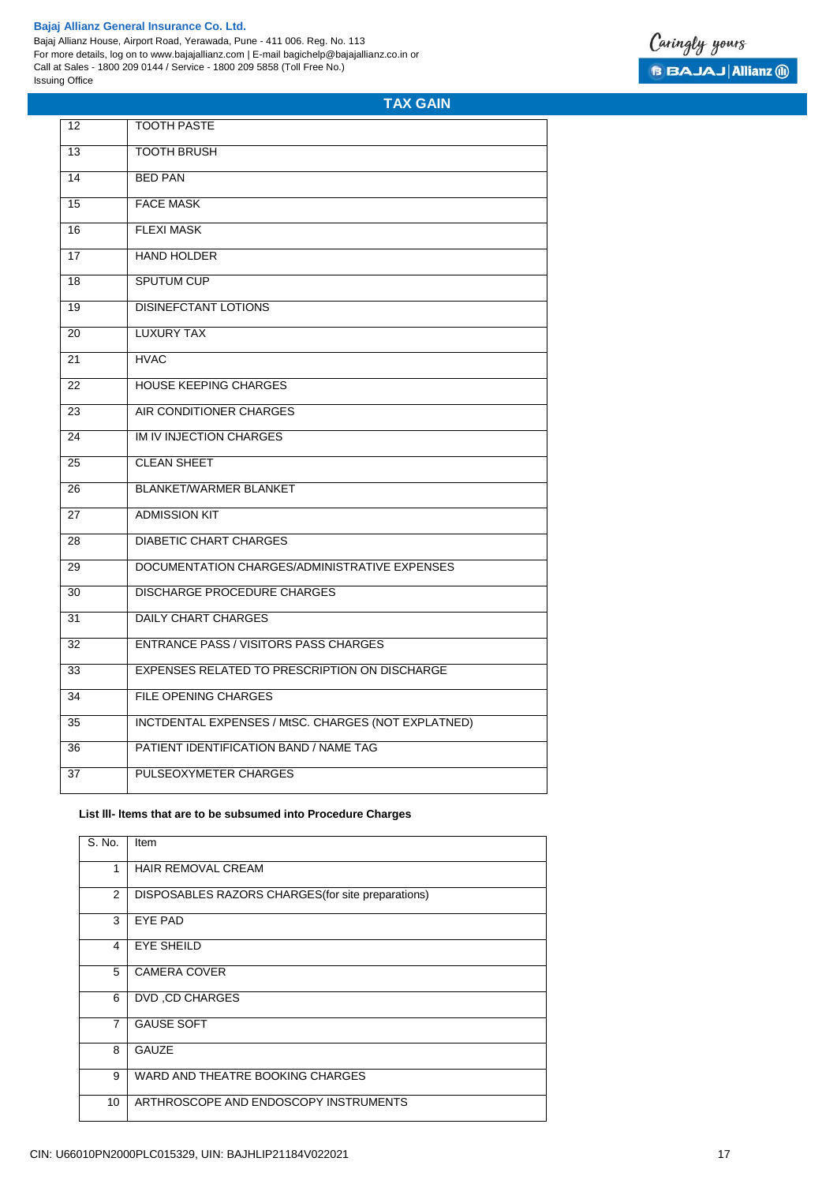# **TAX GAIN**

| 12 | <b>TOOTH PASTE</b>                                  |
|----|-----------------------------------------------------|
| 13 | <b>TOOTH BRUSH</b>                                  |
| 14 | <b>BFD PAN</b>                                      |
| 15 | <b>FACE MASK</b>                                    |
| 16 | <b>FLEXI MASK</b>                                   |
| 17 | <b>HAND HOLDER</b>                                  |
| 18 | <b>SPUTUM CUP</b>                                   |
| 19 | <b>DISINEFCTANT LOTIONS</b>                         |
| 20 | <b>LUXURY TAX</b>                                   |
| 21 | <b>HVAC</b>                                         |
| 22 | <b>HOUSE KEEPING CHARGES</b>                        |
| 23 | AIR CONDITIONER CHARGES                             |
| 24 | IM IV INJECTION CHARGES                             |
| 25 | <b>CLEAN SHEET</b>                                  |
| 26 | <b>BLANKET/WARMER BLANKET</b>                       |
| 27 | <b>ADMISSION KIT</b>                                |
| 28 | <b>DIABETIC CHART CHARGES</b>                       |
| 29 | DOCUMENTATION CHARGES/ADMINISTRATIVE EXPENSES       |
| 30 | <b>DISCHARGE PROCEDURE CHARGES</b>                  |
| 31 | <b>DAILY CHART CHARGES</b>                          |
| 32 | <b>ENTRANCE PASS / VISITORS PASS CHARGES</b>        |
| 33 | EXPENSES RELATED TO PRESCRIPTION ON DISCHARGE       |
| 34 | <b>FILE OPENING CHARGES</b>                         |
| 35 | INCTDENTAL EXPENSES / MtSC. CHARGES (NOT EXPLATNED) |
| 36 | PATIENT IDENTIFICATION BAND / NAME TAG              |
| 37 | PULSEOXYMETER CHARGES                               |

# **List lll- ltems that are to be subsumed into Procedure Charges**

| S. No.         | Item                                               |
|----------------|----------------------------------------------------|
| 1              | <b>HAIR REMOVAL CREAM</b>                          |
| 2              | DISPOSABLES RAZORS CHARGES (for site preparations) |
| 3              | EYE PAD                                            |
| 4              | EYE SHEILD                                         |
| 5              | <b>CAMERA COVER</b>                                |
| 6              | DVD, CD CHARGES                                    |
| $\overline{7}$ | <b>GAUSE SOFT</b>                                  |
| 8              | <b>GAUZE</b>                                       |
| 9              | WARD AND THEATRE BOOKING CHARGES                   |
| 10             | ARTHROSCOPE AND ENDOSCOPY INSTRUMENTS              |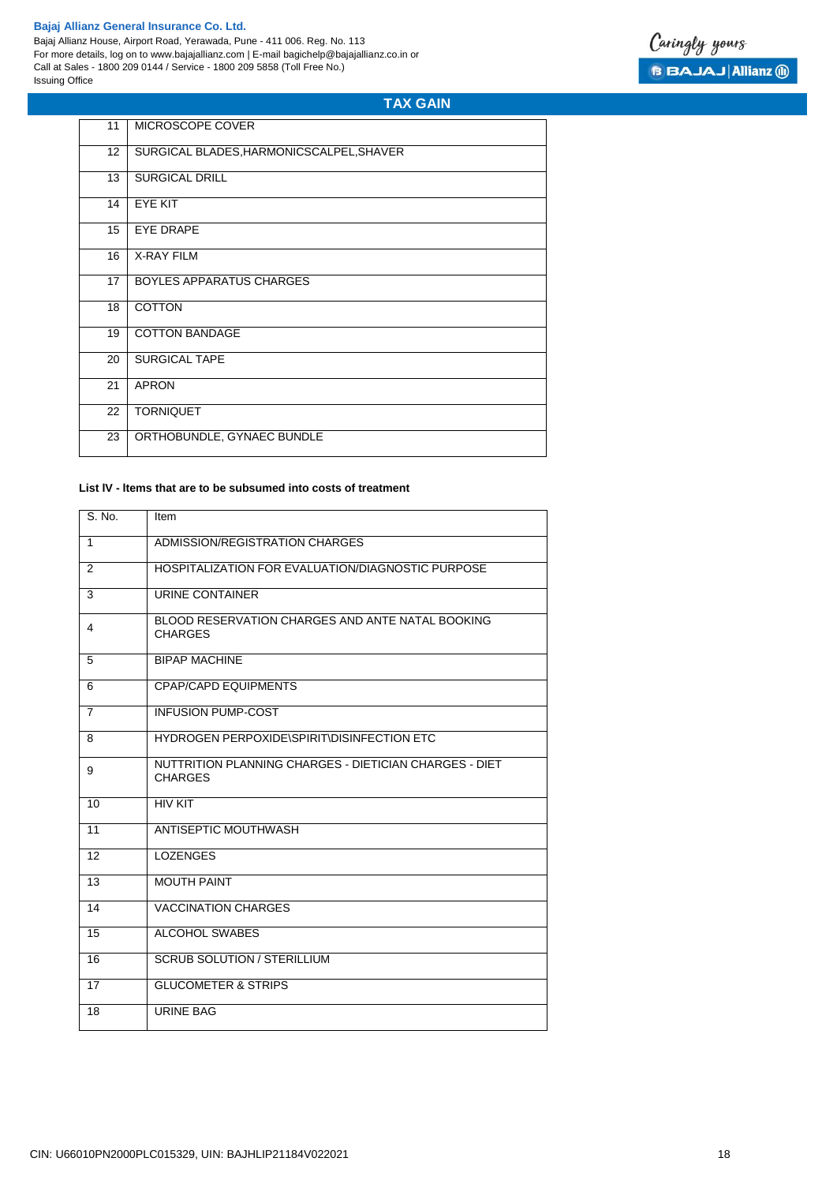r.

Bajaj Allianz House, Airport Road, Yerawada, Pune - 411 006. Reg. No. 113 For more details, log on to www.bajajallianz.com | E-mail bagichelp@bajajallianz.co.in or Call at Sales - 1800 209 0144 / Service - 1800 209 5858 (Toll Free No.) Issuing Office



# **TAX GAIN**

| 11              | MICROSCOPE COVER                         |
|-----------------|------------------------------------------|
| 12 <sup>2</sup> | SURGICAL BLADES, HARMONICSCALPEL, SHAVER |
| 13              | <b>SURGICAL DRILL</b>                    |
| 14              | EYE KIT                                  |
| 15              | <b>EYE DRAPE</b>                         |
| 16              | <b>X-RAY FILM</b>                        |
| 17              | <b>BOYLES APPARATUS CHARGES</b>          |
| 18              | <b>COTTON</b>                            |
| 19              | <b>COTTON BANDAGE</b>                    |
| 20              | <b>SURGICAL TAPE</b>                     |
| 21              | <b>APRON</b>                             |
| 22              | <b>TORNIQUET</b>                         |
| 23              | ORTHOBUNDLE, GYNAEC BUNDLE               |
|                 |                                          |

# **List lV - ltems that are to be subsumed into costs of treatment**

| S. No. | Item                                                                     |
|--------|--------------------------------------------------------------------------|
| 1      | ADMISSION/REGISTRATION CHARGES                                           |
| 2      | HOSPITALIZATION FOR EVALUATION/DIAGNOSTIC PURPOSE                        |
| 3      | URINE CONTAINER                                                          |
| 4      | BLOOD RESERVATION CHARGES AND ANTE NATAL BOOKING<br><b>CHARGES</b>       |
| 5      | <b>BIPAP MACHINE</b>                                                     |
| 6      | <b>CPAP/CAPD EQUIPMENTS</b>                                              |
| 7      | <b>INFUSION PUMP-COST</b>                                                |
| 8      | HYDROGEN PERPOXIDE\SPIRIT\DISINFECTION ETC                               |
| 9      | NUTTRITION PLANNING CHARGES - DIETICIAN CHARGES - DIET<br><b>CHARGES</b> |
| 10     | <b>HIV KIT</b>                                                           |
| 11     | ANTISEPTIC MOUTHWASH                                                     |
| 12     | <b>LOZENGES</b>                                                          |
| 13     | <b>MOUTH PAINT</b>                                                       |
| 14     | <b>VACCINATION CHARGES</b>                                               |
| 15     | <b>ALCOHOL SWABES</b>                                                    |
| 16     | <b>SCRUB SOLUTION / STERILLIUM</b>                                       |
| 17     | <b>GLUCOMETER &amp; STRIPS</b>                                           |
| 18     | <b>URINE BAG</b>                                                         |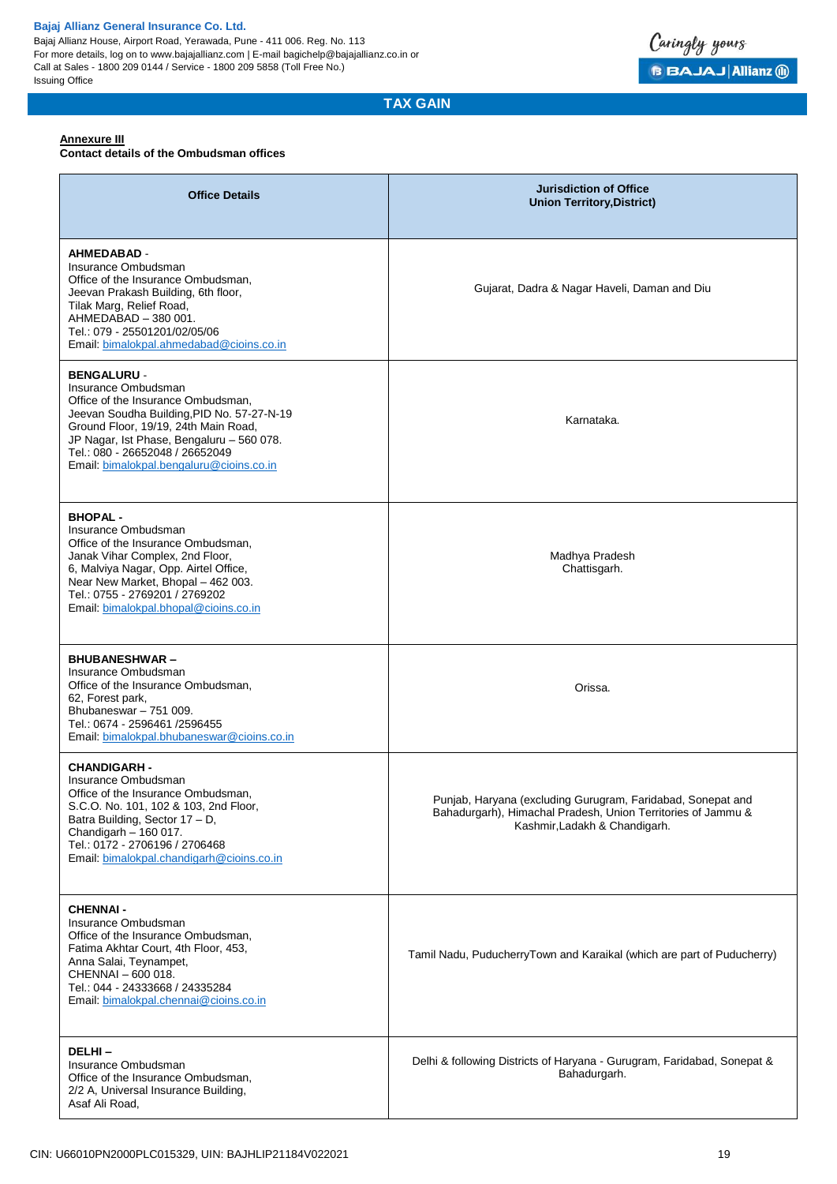Bajaj Allianz House, Airport Road, Yerawada, Pune - 411 006. Reg. No. 113 For more details, log on to www.bajajallianz.com | E-mail bagichelp@bajajallianz.co.in or Call at Sales - 1800 209 0144 / Service - 1800 209 5858 (Toll Free No.) Issuing Office



**TAX GAIN**

### **Annexure III**

#### **Contact details of the Ombudsman offices**

| <b>Office Details</b>                                                                                                                                                                                                                                                                             | <b>Jurisdiction of Office</b><br><b>Union Territory, District)</b>                                                                                           |
|---------------------------------------------------------------------------------------------------------------------------------------------------------------------------------------------------------------------------------------------------------------------------------------------------|--------------------------------------------------------------------------------------------------------------------------------------------------------------|
| <b>AHMEDABAD -</b><br>Insurance Ombudsman<br>Office of the Insurance Ombudsman,<br>Jeevan Prakash Building, 6th floor,<br>Tilak Marg, Relief Road,<br>AHMEDABAD - 380 001.<br>Tel.: 079 - 25501201/02/05/06<br>Email: bimalokpal.ahmedabad@cioins.co.in                                           | Gujarat, Dadra & Nagar Haveli, Daman and Diu                                                                                                                 |
| <b>BENGALURU -</b><br>Insurance Ombudsman<br>Office of the Insurance Ombudsman,<br>Jeevan Soudha Building, PID No. 57-27-N-19<br>Ground Floor, 19/19, 24th Main Road,<br>JP Nagar, Ist Phase, Bengaluru - 560 078.<br>Tel.: 080 - 26652048 / 26652049<br>Email: bimalokpal.bengaluru@cioins.co.in | Karnataka.                                                                                                                                                   |
| <b>BHOPAL-</b><br>Insurance Ombudsman<br>Office of the Insurance Ombudsman,<br>Janak Vihar Complex, 2nd Floor,<br>6, Malviya Nagar, Opp. Airtel Office,<br>Near New Market, Bhopal - 462 003.<br>Tel.: 0755 - 2769201 / 2769202<br>Email: bimalokpal.bhopal@cioins.co.in                          | Madhya Pradesh<br>Chattisgarh.                                                                                                                               |
| <b>BHUBANESHWAR-</b><br>Insurance Ombudsman<br>Office of the Insurance Ombudsman,<br>62, Forest park,<br>Bhubaneswar - 751 009.<br>Tel.: 0674 - 2596461 /2596455<br>Email: bimalokpal.bhubaneswar@cioins.co.in                                                                                    | Orissa.                                                                                                                                                      |
| <b>CHANDIGARH -</b><br>Insurance Ombudsman<br>Office of the Insurance Ombudsman,<br>S.C.O. No. 101, 102 & 103, 2nd Floor,<br>Batra Building, Sector 17 - D,<br>Chandigarh - 160 017.<br>Tel.: 0172 - 2706196 / 2706468<br>Email: bimalokpal.chandigarh@cioins.co.in                               | Punjab, Haryana (excluding Gurugram, Faridabad, Sonepat and<br>Bahadurgarh), Himachal Pradesh, Union Territories of Jammu &<br>Kashmir, Ladakh & Chandigarh. |
| <b>CHENNAI -</b><br>Insurance Ombudsman<br>Office of the Insurance Ombudsman,<br>Fatima Akhtar Court, 4th Floor, 453,<br>Anna Salai, Teynampet,<br>CHENNAI - 600 018.<br>Tel.: 044 - 24333668 / 24335284<br>Email: bimalokpal.chennai@cioins.co.in                                                | Tamil Nadu, PuducherryTown and Karaikal (which are part of Puducherry)                                                                                       |
| DELHI-<br>Insurance Ombudsman<br>Office of the Insurance Ombudsman,<br>2/2 A, Universal Insurance Building,<br>Asaf Ali Road,                                                                                                                                                                     | Delhi & following Districts of Haryana - Gurugram, Faridabad, Sonepat &<br>Bahadurgarh.                                                                      |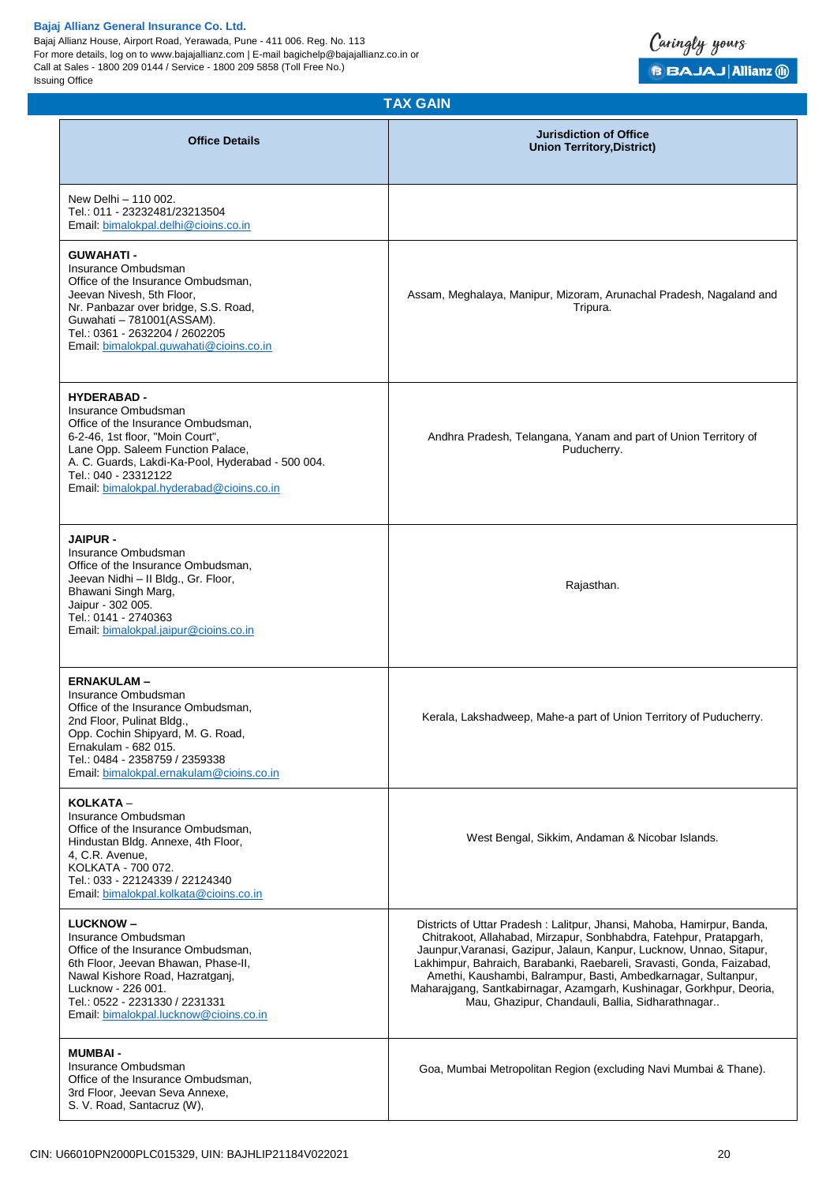Bajaj Allianz House, Airport Road, Yerawada, Pune - 411 006. Reg. No. 113 For more details, log on to www.bajajallianz.com | E-mail bagichelp@bajajallianz.co.in or Call at Sales - 1800 209 0144 / Service - 1800 209 5858 (Toll Free No.) Issuing Office



| <b>TAX GAIN</b>                                                                                                                                                                                                                                                                   |                                                                                                                                                                                                                                                                                                                                                                                                                                                                                             |  |  |
|-----------------------------------------------------------------------------------------------------------------------------------------------------------------------------------------------------------------------------------------------------------------------------------|---------------------------------------------------------------------------------------------------------------------------------------------------------------------------------------------------------------------------------------------------------------------------------------------------------------------------------------------------------------------------------------------------------------------------------------------------------------------------------------------|--|--|
| <b>Office Details</b>                                                                                                                                                                                                                                                             | <b>Jurisdiction of Office</b><br><b>Union Territory, District)</b>                                                                                                                                                                                                                                                                                                                                                                                                                          |  |  |
| New Delhi - 110 002.<br>Tel.: 011 - 23232481/23213504<br>Email: bimalokpal.delhi@cioins.co.in                                                                                                                                                                                     |                                                                                                                                                                                                                                                                                                                                                                                                                                                                                             |  |  |
| <b>GUWAHATI-</b><br>Insurance Ombudsman<br>Office of the Insurance Ombudsman,<br>Jeevan Nivesh, 5th Floor,<br>Nr. Panbazar over bridge, S.S. Road,<br>Guwahati - 781001(ASSAM).<br>Tel.: 0361 - 2632204 / 2602205<br>Email: bimalokpal.guwahati@cioins.co.in                      | Assam, Meghalaya, Manipur, Mizoram, Arunachal Pradesh, Nagaland and<br>Tripura.                                                                                                                                                                                                                                                                                                                                                                                                             |  |  |
| <b>HYDERABAD -</b><br>Insurance Ombudsman<br>Office of the Insurance Ombudsman,<br>6-2-46, 1st floor, "Moin Court",<br>Lane Opp. Saleem Function Palace,<br>A. C. Guards, Lakdi-Ka-Pool, Hyderabad - 500 004.<br>Tel.: 040 - 23312122<br>Email: bimalokpal.hyderabad@cioins.co.in | Andhra Pradesh, Telangana, Yanam and part of Union Territory of<br>Puducherry.                                                                                                                                                                                                                                                                                                                                                                                                              |  |  |
| <b>JAIPUR -</b><br>Insurance Ombudsman<br>Office of the Insurance Ombudsman,<br>Jeevan Nidhi - II Bldg., Gr. Floor,<br>Bhawani Singh Marg,<br>Jaipur - 302 005.<br>Tel.: 0141 - 2740363<br>Email: bimalokpal.jaipur@cioins.co.in                                                  | Rajasthan.                                                                                                                                                                                                                                                                                                                                                                                                                                                                                  |  |  |
| <b>ERNAKULAM-</b><br>Insurance Ombudsman<br>Office of the Insurance Ombudsman.<br>2nd Floor, Pulinat Bldg.,<br>Opp. Cochin Shipyard, M. G. Road,<br>Ernakulam - 682 015.<br>Tel.: 0484 - 2358759 / 2359338<br>Email: bimalokpal.ernakulam@cioins.co.in                            | Kerala, Lakshadweep, Mahe-a part of Union Territory of Puducherry.                                                                                                                                                                                                                                                                                                                                                                                                                          |  |  |
| KOLKATA -<br>Insurance Ombudsman<br>Office of the Insurance Ombudsman.<br>Hindustan Bldg. Annexe, 4th Floor,<br>4, C.R. Avenue,<br>KOLKATA - 700 072.<br>Tel.: 033 - 22124339 / 22124340<br>Email: bimalokpal.kolkata@cioins.co.in                                                | West Bengal, Sikkim, Andaman & Nicobar Islands.                                                                                                                                                                                                                                                                                                                                                                                                                                             |  |  |
| <b>LUCKNOW-</b><br>Insurance Ombudsman<br>Office of the Insurance Ombudsman,<br>6th Floor, Jeevan Bhawan, Phase-II,<br>Nawal Kishore Road, Hazratganj,<br>Lucknow - 226 001.<br>Tel.: 0522 - 2231330 / 2231331<br>Email: bimalokpal.lucknow@cioins.co.in                          | Districts of Uttar Pradesh: Lalitpur, Jhansi, Mahoba, Hamirpur, Banda,<br>Chitrakoot, Allahabad, Mirzapur, Sonbhabdra, Fatehpur, Pratapgarh,<br>Jaunpur, Varanasi, Gazipur, Jalaun, Kanpur, Lucknow, Unnao, Sitapur,<br>Lakhimpur, Bahraich, Barabanki, Raebareli, Sravasti, Gonda, Faizabad,<br>Amethi, Kaushambi, Balrampur, Basti, Ambedkarnagar, Sultanpur,<br>Maharajgang, Santkabirnagar, Azamgarh, Kushinagar, Gorkhpur, Deoria,<br>Mau, Ghazipur, Chandauli, Ballia, Sidharathnagar |  |  |
| <b>MUMBAI-</b><br>Insurance Ombudsman<br>Office of the Insurance Ombudsman,<br>3rd Floor, Jeevan Seva Annexe,<br>S. V. Road, Santacruz (W),                                                                                                                                       | Goa, Mumbai Metropolitan Region (excluding Navi Mumbai & Thane).                                                                                                                                                                                                                                                                                                                                                                                                                            |  |  |